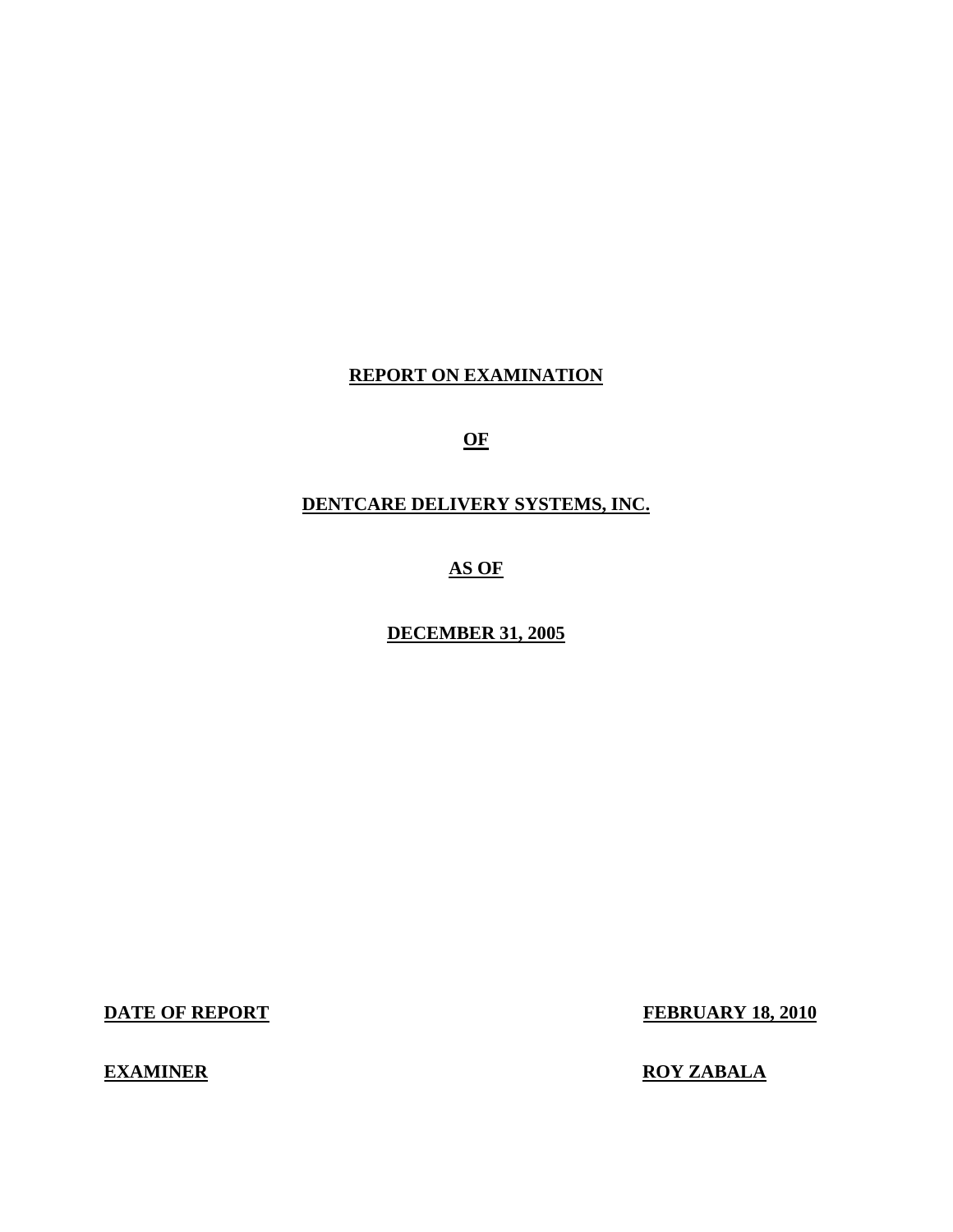# **REPORT ON EXAMINATION**

**OF** 

# **DENTCARE DELIVERY SYSTEMS, INC.**

**AS OF** 

**DECEMBER 31, 2005** 

**DATE OF REPORT FEBRUARY 18, 2010** 

**EXAMINER ROY ZABALA**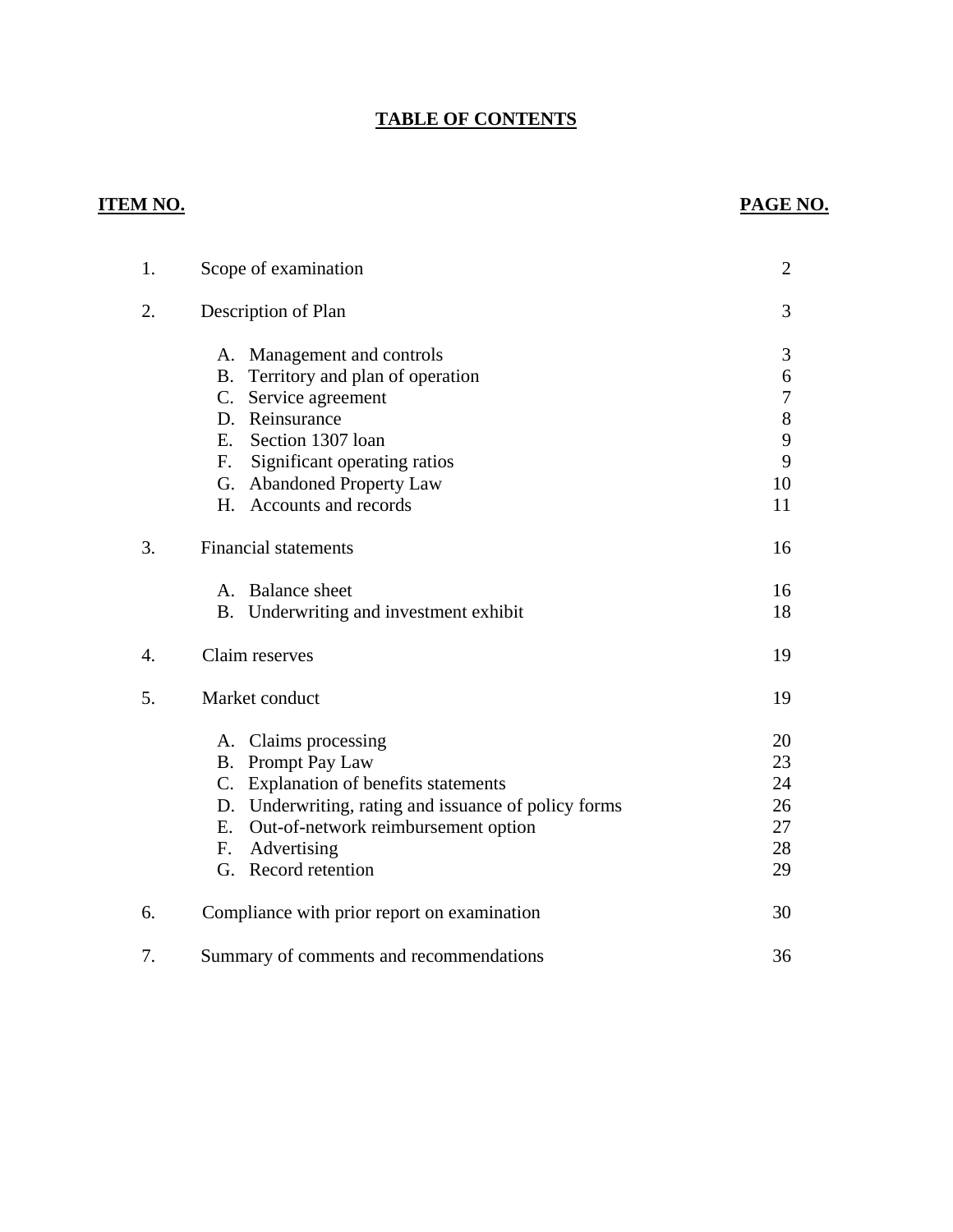# **TABLE OF CONTENTS**

# **ITEM NO. PAGE NO.**

| 1. | Scope of examination                                 | $\overline{2}$ |
|----|------------------------------------------------------|----------------|
| 2. | Description of Plan                                  | 3              |
|    | A. Management and controls                           | 3              |
|    | B. Territory and plan of operation                   | 6              |
|    | C. Service agreement                                 | $\overline{7}$ |
|    | D. Reinsurance                                       | $8\,$          |
|    | E. Section 1307 loan                                 | 9              |
|    | F. Significant operating ratios                      | 9              |
|    | G. Abandoned Property Law                            | 10             |
|    | H. Accounts and records                              | 11             |
| 3. | <b>Financial statements</b>                          | 16             |
|    | A. Balance sheet                                     | 16             |
|    | B. Underwriting and investment exhibit               | 18             |
| 4. | Claim reserves                                       | 19             |
| 5. | Market conduct                                       | 19             |
|    | A. Claims processing                                 | 20             |
|    | <b>B.</b> Prompt Pay Law                             | 23             |
|    | C. Explanation of benefits statements                | 24             |
|    | D. Underwriting, rating and issuance of policy forms | 26             |
|    | Out-of-network reimbursement option<br>Ε.            | 27             |
|    | Advertising<br>F.                                    | 28             |
|    | G. Record retention                                  | 29             |
| 6. | Compliance with prior report on examination          | 30             |
| 7. | Summary of comments and recommendations              | 36             |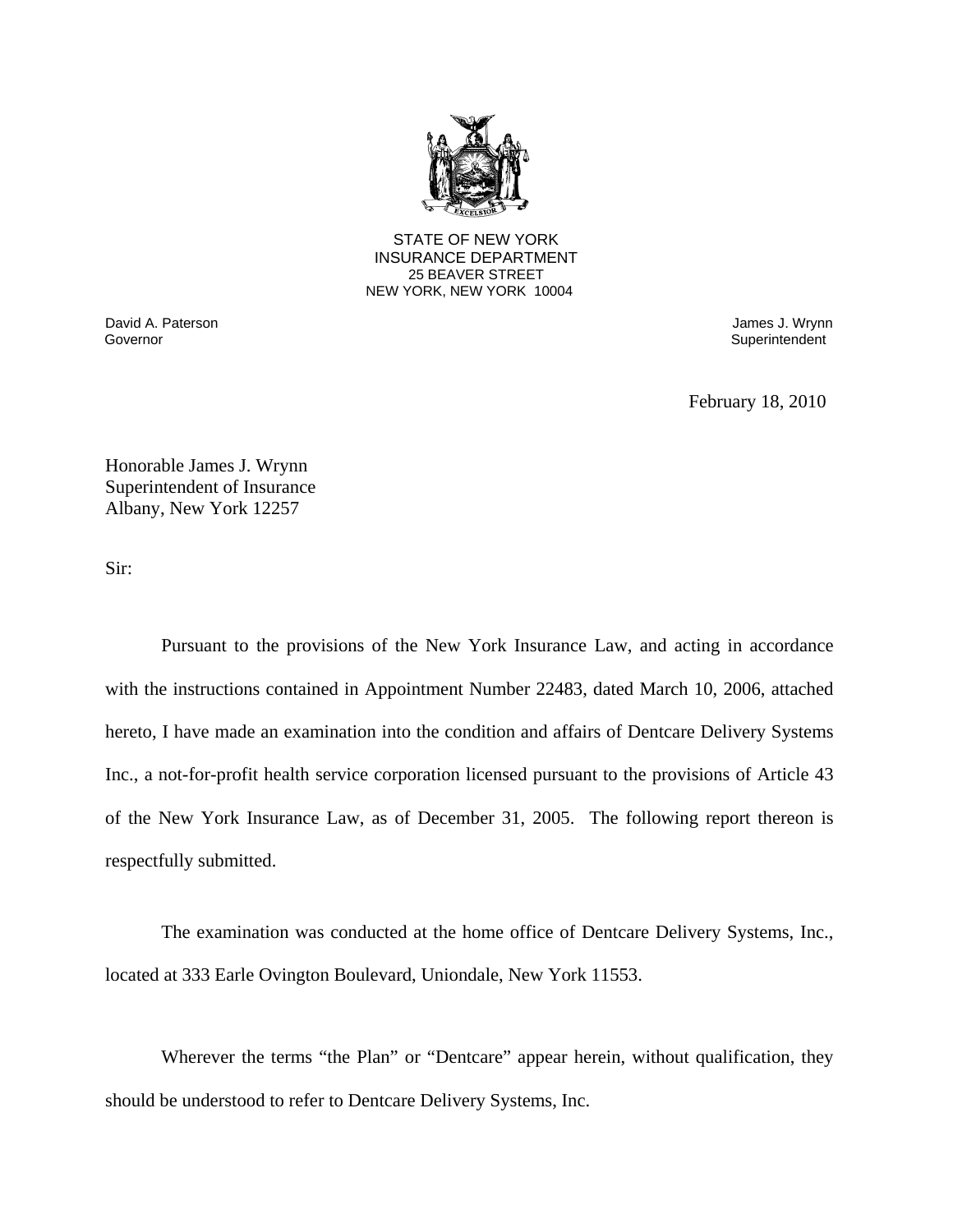

25 BEAVER STREET STATE OF NEW YORK INSURANCE DEPARTMENT NEW YORK, NEW YORK 10004

David A. Paterson James J. Wrynn Governor **Superintendent** Superintendent Superintendent Superintendent Superintendent Superintendent Superintendent

February 18, 2010

Honorable James J. Wrynn Superintendent of Insurance Albany, New York 12257

Sir:

Pursuant to the provisions of the New York Insurance Law, and acting in accordance with the instructions contained in Appointment Number 22483, dated March 10, 2006, attached hereto, I have made an examination into the condition and affairs of Dentcare Delivery Systems Inc., a not-for-profit health service corporation licensed pursuant to the provisions of Article 43 of the New York Insurance Law, as of December 31, 2005. The following report thereon is respectfully submitted.

The examination was conducted at the home office of Dentcare Delivery Systems, Inc., located at 333 Earle Ovington Boulevard, Uniondale, New York 11553.

Wherever the terms "the Plan" or "Dentcare" appear herein, without qualification, they should be understood to refer to Dentcare Delivery Systems, Inc.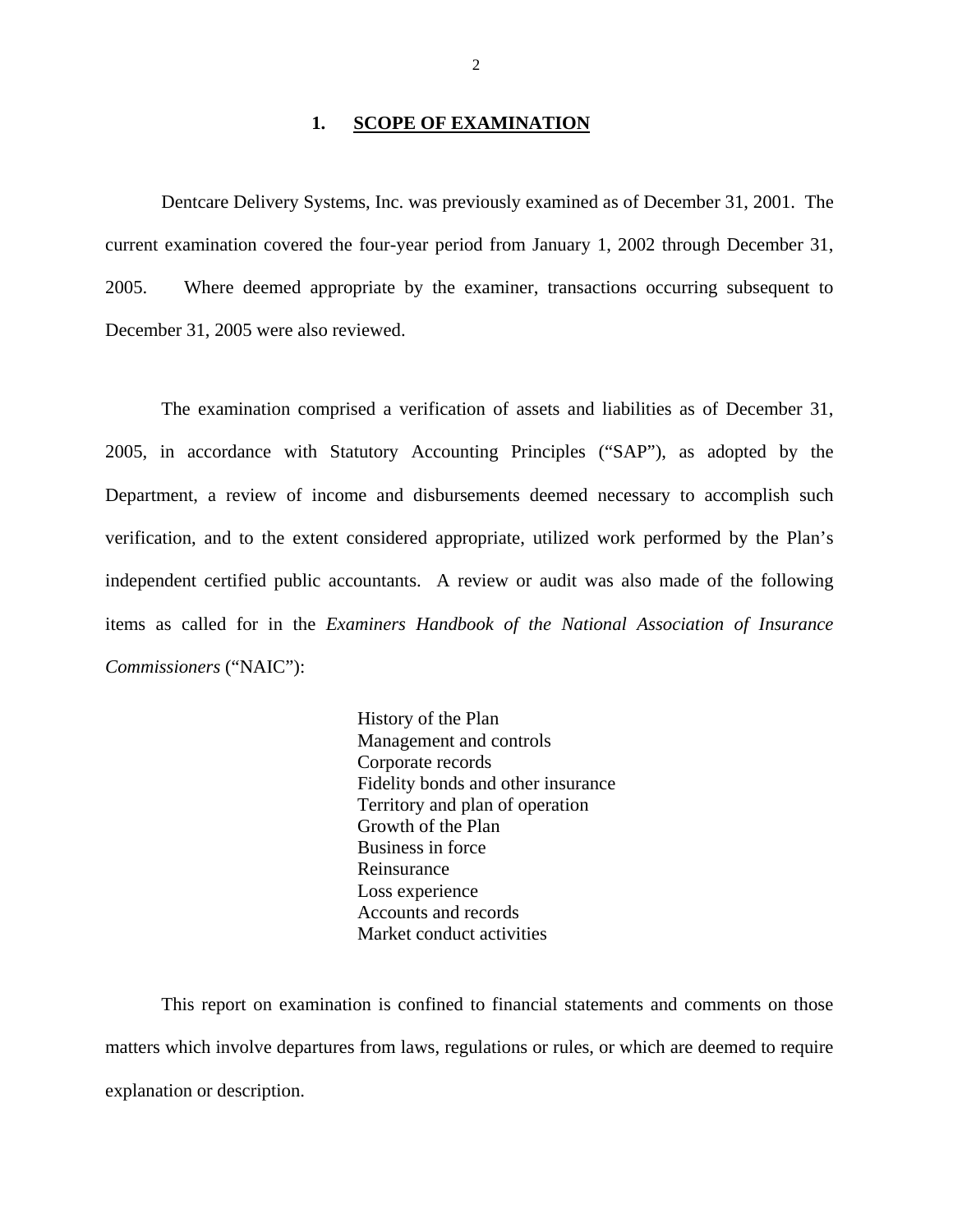#### 1. **SCOPE OF EXAMINATION**

<span id="page-3-0"></span>Dentcare Delivery Systems, Inc. was previously examined as of December 31, 2001. The current examination covered the four-year period from January 1, 2002 through December 31, 2005. Where deemed appropriate by the examiner, transactions occurring subsequent to December 31, 2005 were also reviewed.

The examination comprised a verification of assets and liabilities as of December 31, 2005, in accordance with Statutory Accounting Principles ("SAP"), as adopted by the Department, a review of income and disbursements deemed necessary to accomplish such verification, and to the extent considered appropriate, utilized work performed by the Plan's independent certified public accountants. A review or audit was also made of the following items as called for in the *Examiners Handbook of the National Association of Insurance Commissioners* ("NAIC"):

> History of the Plan Management and controls Corporate records Fidelity bonds and other insurance Territory and plan of operation Growth of the Plan Business in force Reinsurance Loss experience Accounts and records Market conduct activities

This report on examination is confined to financial statements and comments on those matters which involve departures from laws, regulations or rules, or which are deemed to require explanation or description.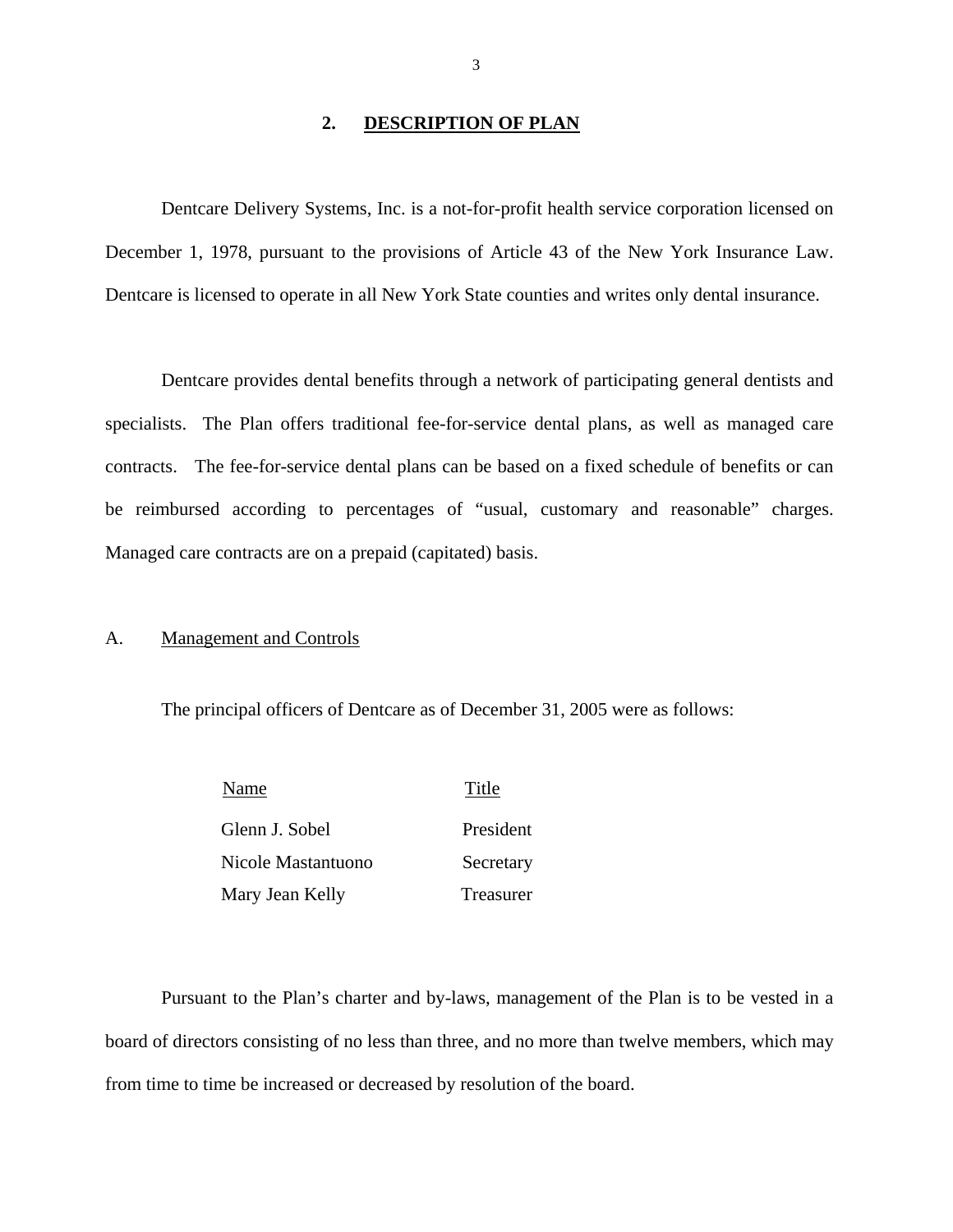#### **2. DESCRIPTION OF PLAN**

<span id="page-4-0"></span>Dentcare Delivery Systems, Inc. is a not-for-profit health service corporation licensed on December 1, 1978, pursuant to the provisions of Article 43 of the New York Insurance Law. Dentcare is licensed to operate in all New York State counties and writes only dental insurance.

 be reimbursed according to percentages of "usual, customary and reasonable" charges. Managed care contracts are on a prepaid (capitated) basis. Dentcare provides dental benefits through a network of participating general dentists and specialists. The Plan offers traditional fee-for-service dental plans, as well as managed care contracts. The fee-for-service dental plans can be based on a fixed schedule of benefits or can

#### A. Management and Controls

The principal officers of Dentcare as of December 31, 2005 were as follows:

| Name               | Title     |
|--------------------|-----------|
| Glenn J. Sobel     | President |
| Nicole Mastantuono | Secretary |
| Mary Jean Kelly    | Treasurer |

Pursuant to the Plan's charter and by-laws, management of the Plan is to be vested in a board of directors consisting of no less than three, and no more than twelve members, which may from time to time be increased or decreased by resolution of the board.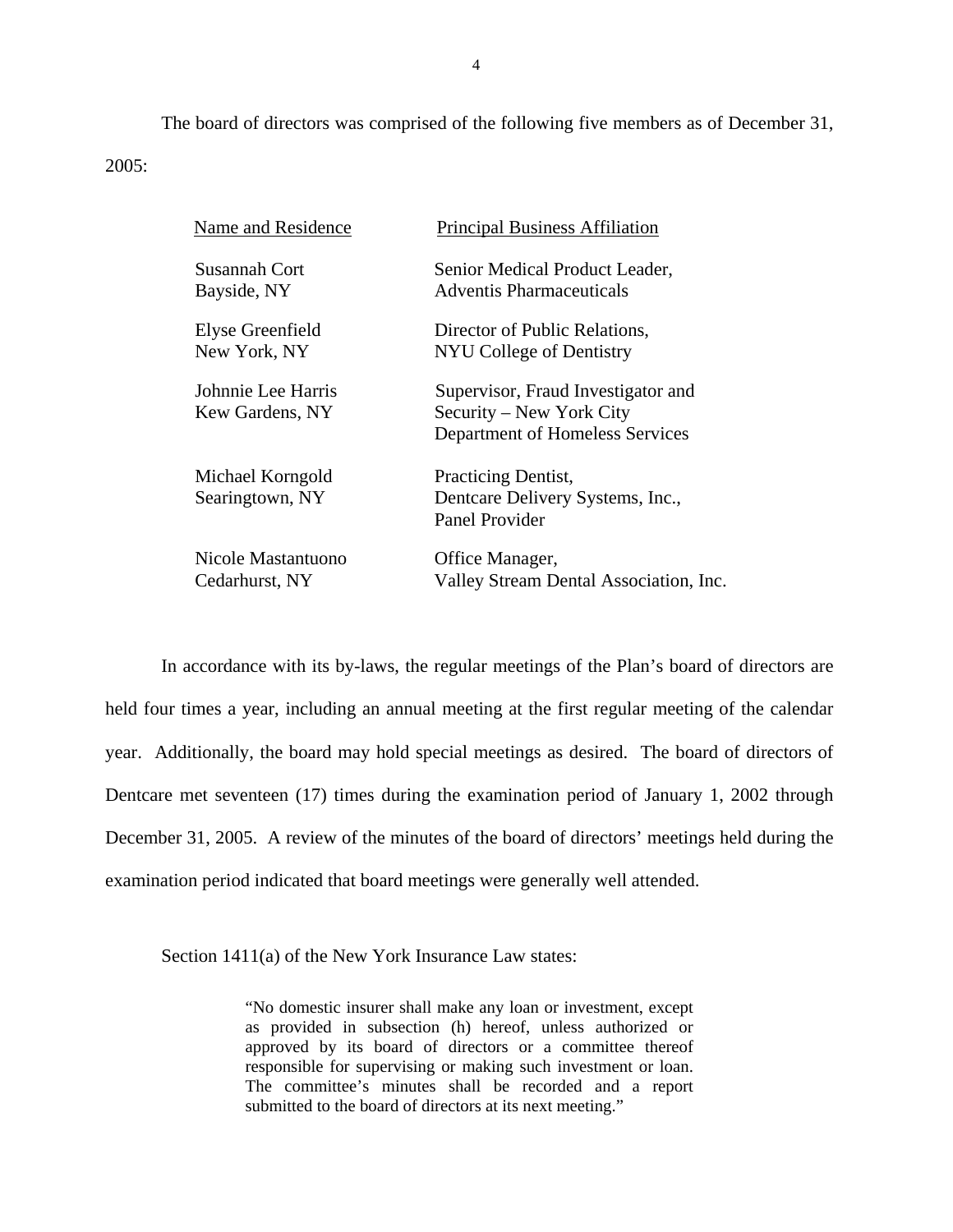The board of directors was comprised of the following five members as of December 31, 2005:

| Name and Residence                    | <b>Principal Business Affiliation</b>                                                             |
|---------------------------------------|---------------------------------------------------------------------------------------------------|
| Susannah Cort                         | Senior Medical Product Leader,                                                                    |
| Bayside, NY                           | Adventis Pharmaceuticals                                                                          |
| Elyse Greenfield                      | Director of Public Relations,                                                                     |
| New York, NY                          | NYU College of Dentistry                                                                          |
| Johnnie Lee Harris<br>Kew Gardens, NY | Supervisor, Fraud Investigator and<br>Security – New York City<br>Department of Homeless Services |
| Michael Korngold<br>Searingtown, NY   | Practicing Dentist,<br>Dentcare Delivery Systems, Inc.,<br>Panel Provider                         |
| Nicole Mastantuono                    | Office Manager,                                                                                   |
| Cedarhurst, NY                        | Valley Stream Dental Association, Inc.                                                            |

In accordance with its by-laws, the regular meetings of the Plan's board of directors are held four times a year, including an annual meeting at the first regular meeting of the calendar year. Additionally, the board may hold special meetings as desired. The board of directors of Dentcare met seventeen (17) times during the examination period of January 1, 2002 through December 31, 2005. A review of the minutes of the board of directors' meetings held during the examination period indicated that board meetings were generally well attended.

Section 1411(a) of the New York Insurance Law states:

"No domestic insurer shall make any loan or investment, except as provided in subsection (h) hereof, unless authorized or approved by its board of directors or a committee thereof responsible for supervising or making such investment or loan. The committee's minutes shall be recorded and a report submitted to the board of directors at its next meeting."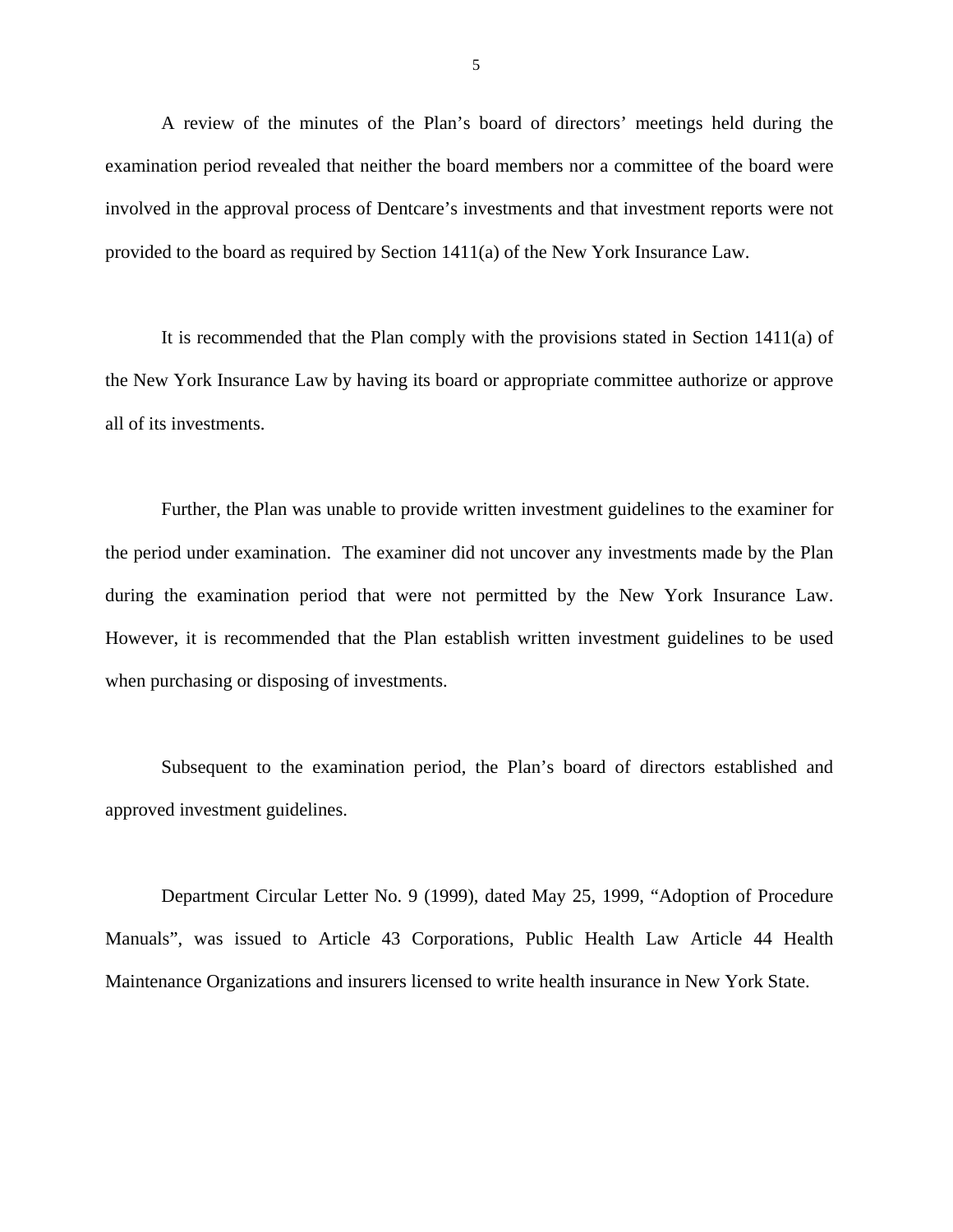A review of the minutes of the Plan's board of directors' meetings held during the examination period revealed that neither the board members nor a committee of the board were involved in the approval process of Dentcare's investments and that investment reports were not provided to the board as required by Section 1411(a) of the New York Insurance Law.

It is recommended that the Plan comply with the provisions stated in Section 1411(a) of the New York Insurance Law by having its board or appropriate committee authorize or approve all of its investments.

Further, the Plan was unable to provide written investment guidelines to the examiner for the period under examination. The examiner did not uncover any investments made by the Plan during the examination period that were not permitted by the New York Insurance Law. However, it is recommended that the Plan establish written investment guidelines to be used when purchasing or disposing of investments.

Subsequent to the examination period, the Plan's board of directors established and approved investment guidelines.

Department Circular Letter No. 9 (1999), dated May 25, 1999, "Adoption of Procedure Manuals", was issued to Article 43 Corporations, Public Health Law Article 44 Health Maintenance Organizations and insurers licensed to write health insurance in New York State.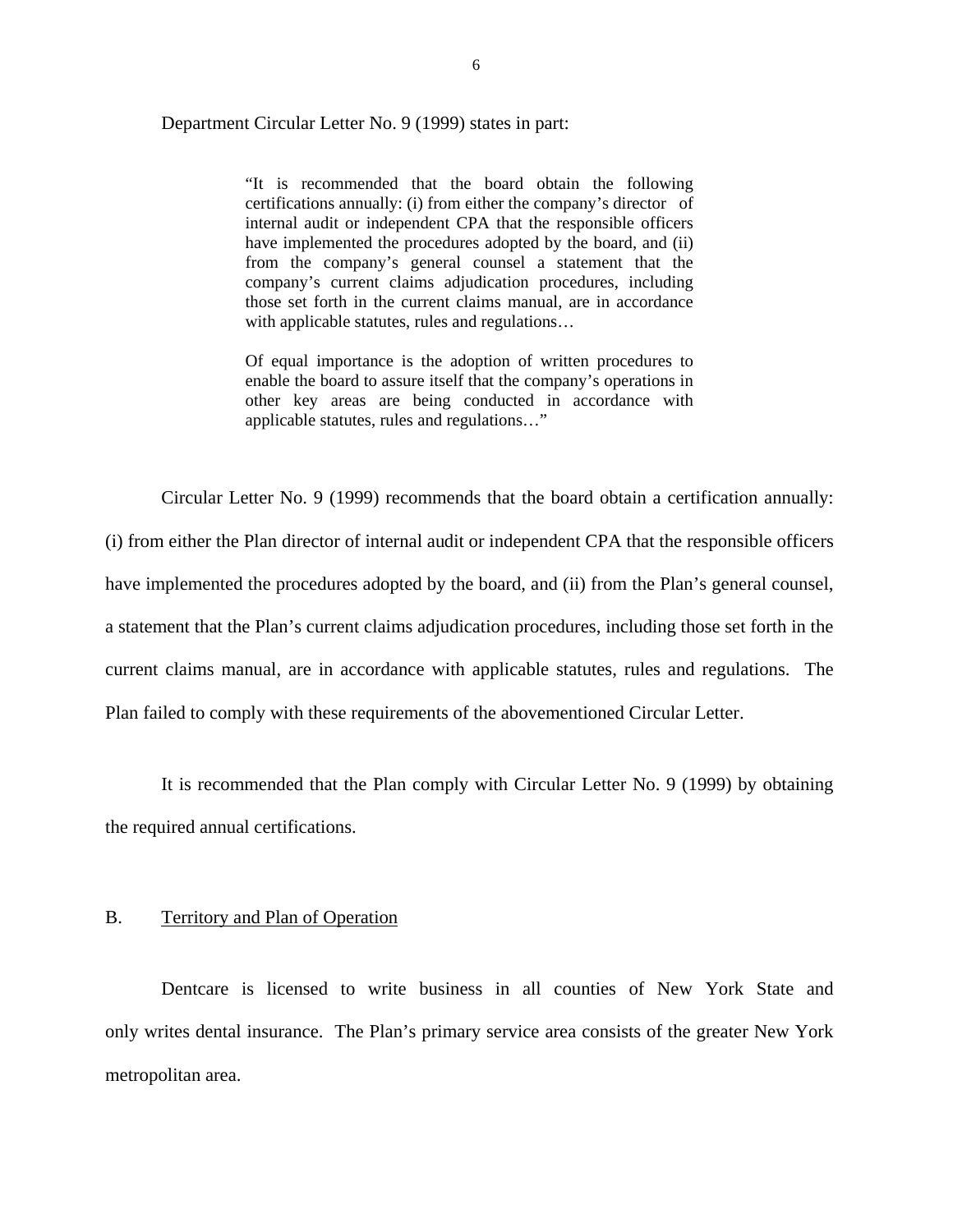<span id="page-7-0"></span>Department Circular Letter No. 9 (1999) states in part:

"It is recommended that the board obtain the following certifications annually: (i) from either the company's director of internal audit or independent CPA that the responsible officers have implemented the procedures adopted by the board, and (ii) from the company's general counsel a statement that the company's current claims adjudication procedures, including those set forth in the current claims manual, are in accordance with applicable statutes, rules and regulations…

Of equal importance is the adoption of written procedures to enable the board to assure itself that the company's operations in other key areas are being conducted in accordance with applicable statutes, rules and regulations…"

Circular Letter No. 9 (1999) recommends that the board obtain a certification annually: (i) from either the Plan director of internal audit or independent CPA that the responsible officers have implemented the procedures adopted by the board, and (ii) from the Plan's general counsel, a statement that the Plan's current claims adjudication procedures, including those set forth in the current claims manual, are in accordance with applicable statutes, rules and regulations. The

Plan failed to comply with these requirements of the abovementioned Circular Letter.

It is recommended that the Plan comply with Circular Letter No. 9 (1999) by obtaining the required annual certifications.

#### B. Territory and Plan of Operation

Dentcare is licensed to write business in all counties of New York State and only writes dental insurance. The Plan's primary service area consists of the greater New York metropolitan area.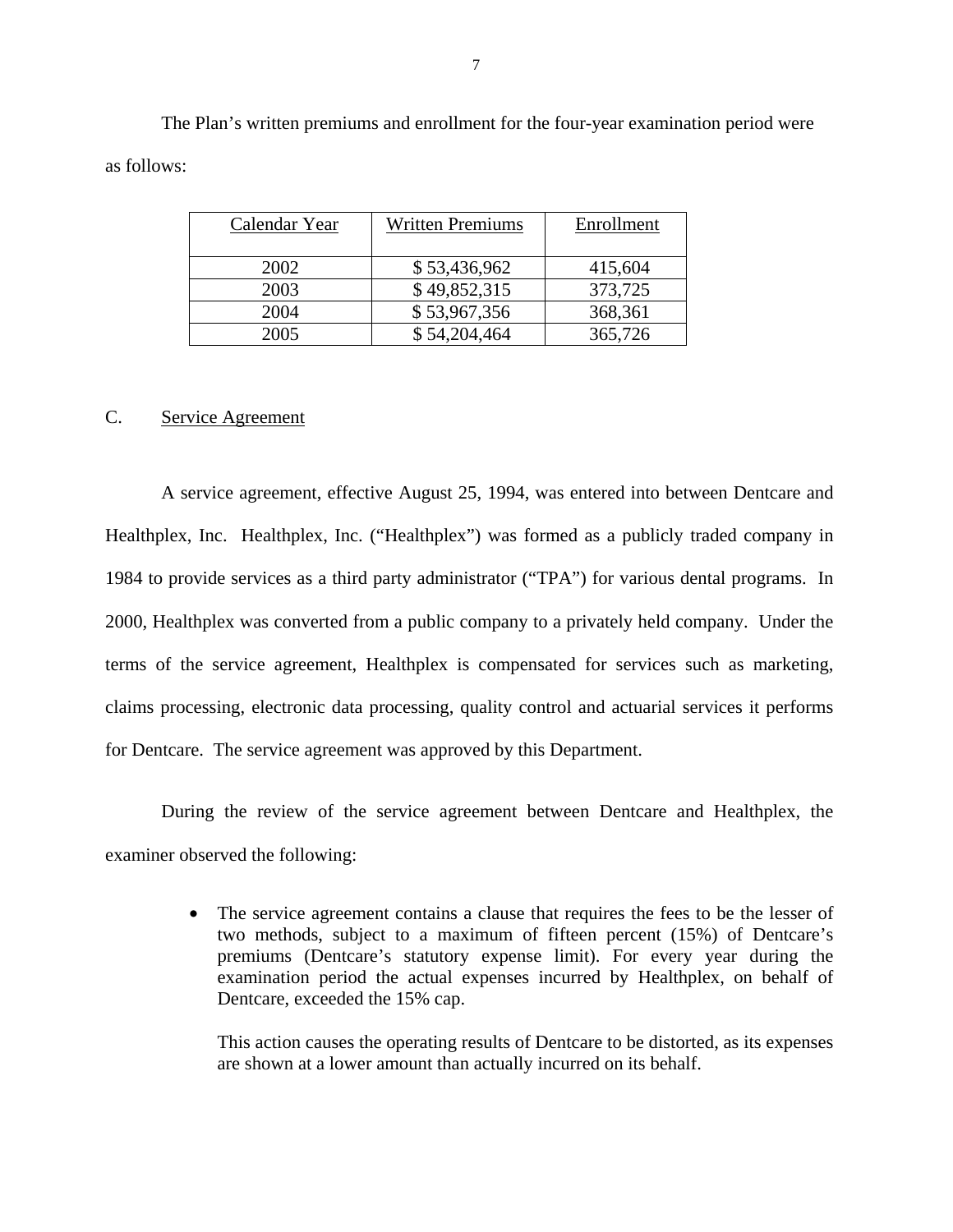The Plan's written premiums and enrollment for the four-year examination period were as follows:

| Calendar Year | <b>Written Premiums</b> | Enrollment |
|---------------|-------------------------|------------|
|               |                         |            |
|               |                         |            |
| 2002          | \$53,436,962            | 415,604    |
|               |                         |            |
| 2003          | \$49,852,315            | 373,725    |
| 2004          | \$53,967,356            | 368,361    |
|               |                         |            |
| 2005          | \$54,204,464            | 365,726    |

#### C. Service Agreement

A service agreement, effective August 25, 1994, was entered into between Dentcare and Healthplex, Inc. Healthplex, Inc. ("Healthplex") was formed as a publicly traded company in 1984 to provide services as a third party administrator ("TPA") for various dental programs. In 2000, Healthplex was converted from a public company to a privately held company. Under the terms of the service agreement, Healthplex is compensated for services such as marketing, claims processing, electronic data processing, quality control and actuarial services it performs for Dentcare. The service agreement was approved by this Department.

During the review of the service agreement between Dentcare and Healthplex, the examiner observed the following:

> • The service agreement contains a clause that requires the fees to be the lesser of two methods, subject to a maximum of fifteen percent (15%) of Dentcare's premiums (Dentcare's statutory expense limit). For every year during the examination period the actual expenses incurred by Healthplex, on behalf of Dentcare, exceeded the 15% cap.

This action causes the operating results of Dentcare to be distorted, as its expenses are shown at a lower amount than actually incurred on its behalf.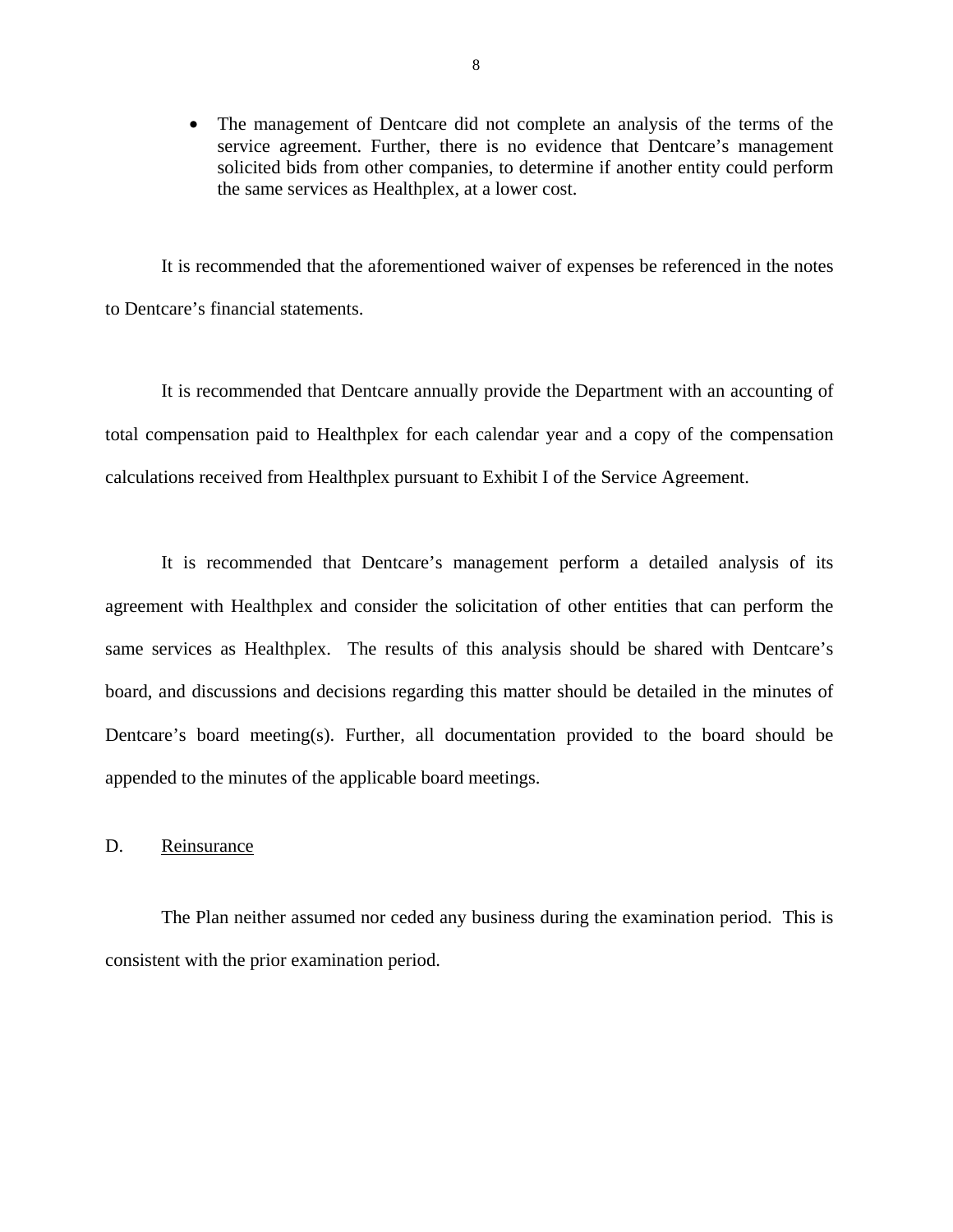<span id="page-9-0"></span>• The management of Dentcare did not complete an analysis of the terms of the service agreement. Further, there is no evidence that Dentcare's management solicited bids from other companies, to determine if another entity could perform the same services as Healthplex, at a lower cost.

It is recommended that the aforementioned waiver of expenses be referenced in the notes to Dentcare's financial statements.

It is recommended that Dentcare annually provide the Department with an accounting of total compensation paid to Healthplex for each calendar year and a copy of the compensation calculations received from Healthplex pursuant to Exhibit I of the Service Agreement.

It is recommended that Dentcare's management perform a detailed analysis of its agreement with Healthplex and consider the solicitation of other entities that can perform the same services as Healthplex. The results of this analysis should be shared with Dentcare's board, and discussions and decisions regarding this matter should be detailed in the minutes of Dentcare's board meeting(s). Further, all documentation provided to the board should be appended to the minutes of the applicable board meetings.

#### D. Reinsurance

The Plan neither assumed nor ceded any business during the examination period. This is consistent with the prior examination period.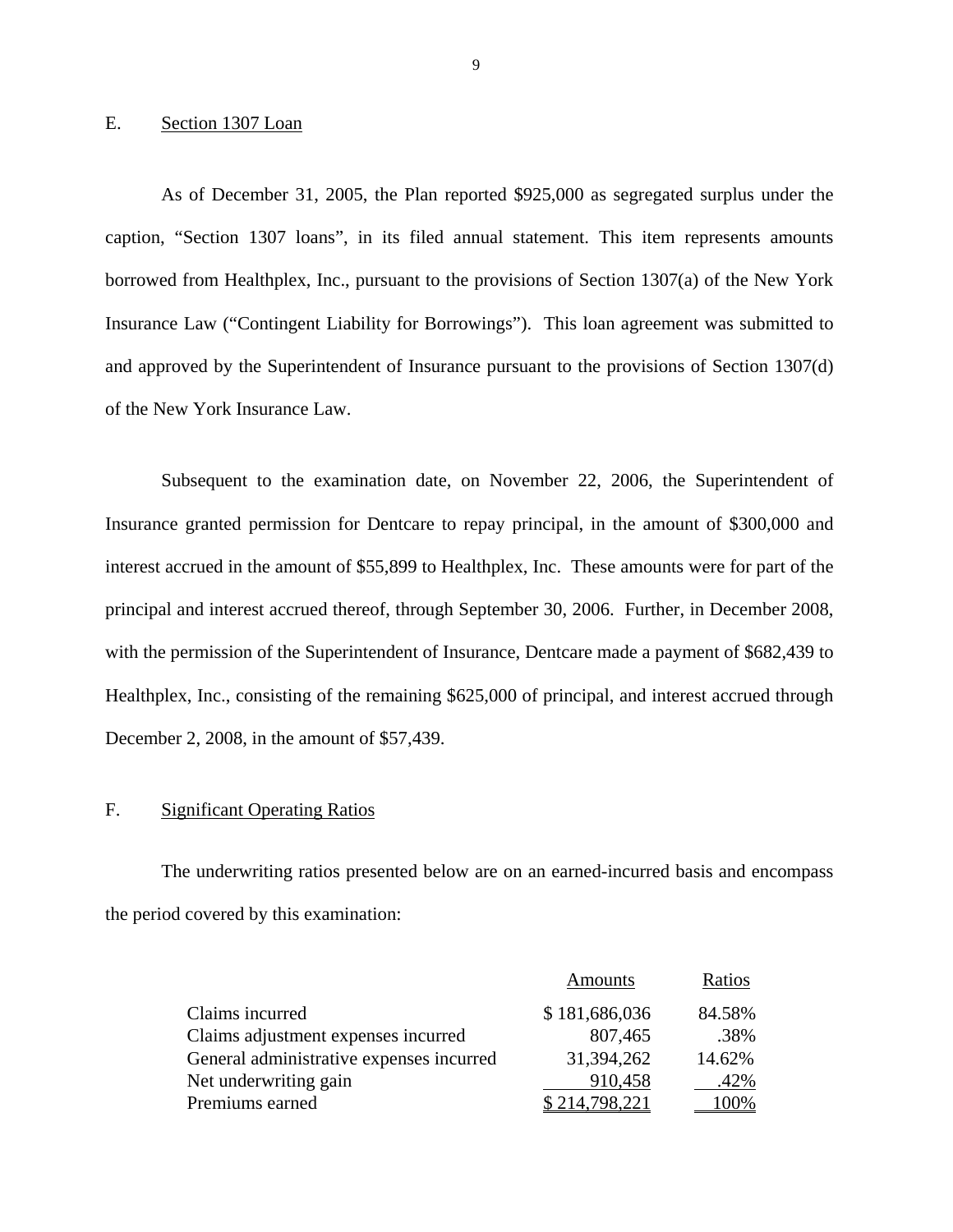#### Section 1307 Loan

E. Section 1307 Loan<br>As of December 31, 2005, the Plan reported \$925,000 as segregated surplus under the caption, "Section 1307 loans", in its filed annual statement. This item represents amounts borrowed from Healthplex, Inc., pursuant to the provisions of Section 1307(a) of the New York Insurance Law ("Contingent Liability for Borrowings"). This loan agreement was submitted to and approved by the Superintendent of Insurance pursuant to the provisions of Section 1307(d) of the New York Insurance Law.

Subsequent to the examination date, on November 22, 2006, the Superintendent of Insurance granted permission for Dentcare to repay principal, in the amount of \$300,000 and interest accrued in the amount of \$55,899 to Healthplex, Inc. These amounts were for part of the principal and interest accrued thereof, through September 30, 2006. Further, in December 2008, with the permission of the Superintendent of Insurance, Dentcare made a payment of \$682,439 to Healthplex, Inc., consisting of the remaining \$625,000 of principal, and interest accrued through December 2, 2008, in the amount of \$57,439.

#### F. Significant Operating Ratios

The underwriting ratios presented below are on an earned-incurred basis and encompass the period covered by this examination:

|                                          | <b>Amounts</b>    | Ratios |
|------------------------------------------|-------------------|--------|
| Claims incurred                          | \$181,686,036     | 84.58% |
| Claims adjustment expenses incurred      | 807,465           | .38%   |
| General administrative expenses incurred | 31,394,262        | 14.62% |
| Net underwriting gain                    | 910,458           | .42%   |
| Premiums earned                          | 798 221<br>\$214. | 100%   |

9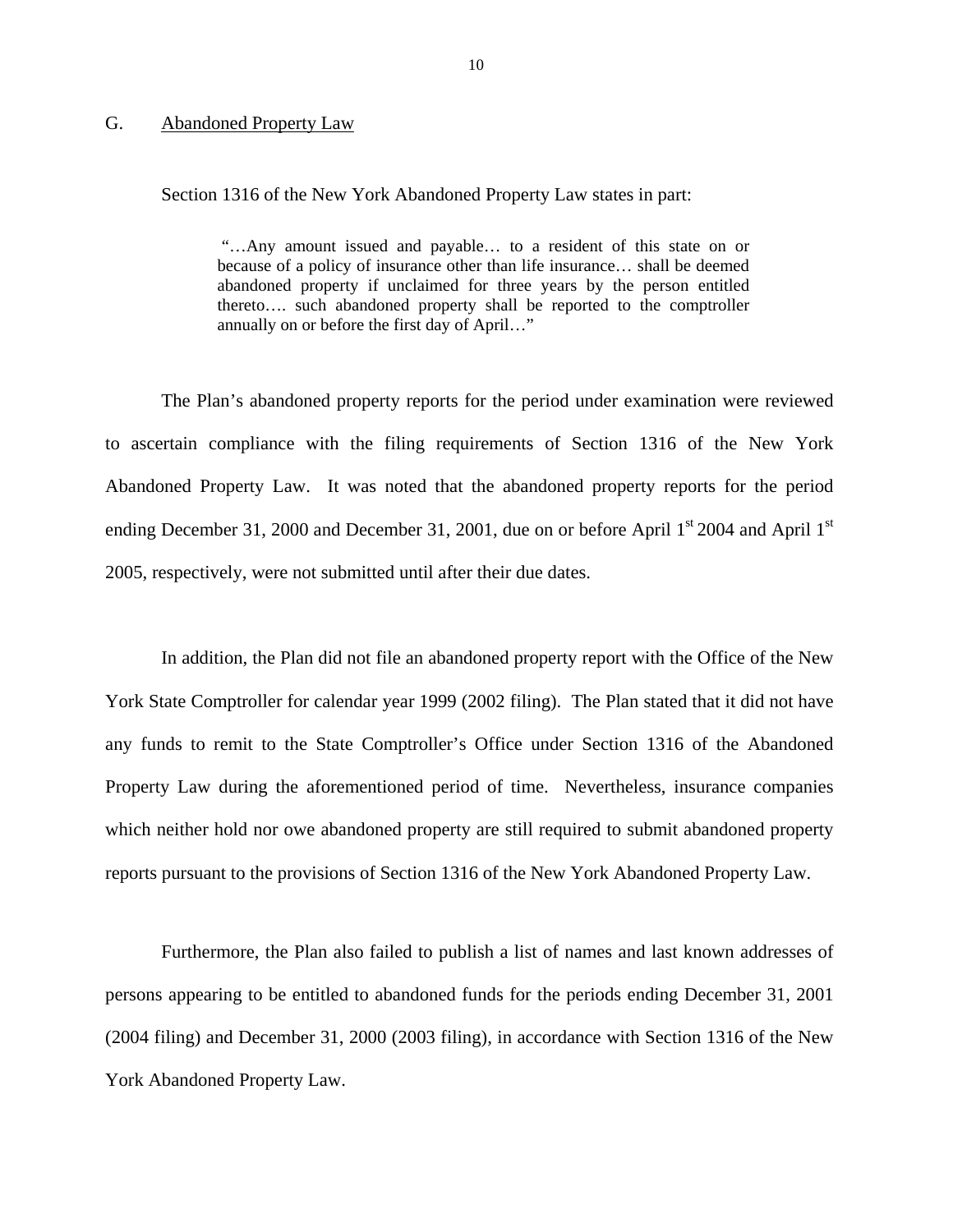#### <span id="page-11-0"></span>G. Abandoned Property Law

Section 1316 of the New York Abandoned Property Law states in part:

"…Any amount issued and payable… to a resident of this state on or because of a policy of insurance other than life insurance… shall be deemed abandoned property if unclaimed for three years by the person entitled thereto…. such abandoned property shall be reported to the comptroller annually on or before the first day of April…"

The Plan's abandoned property reports for the period under examination were reviewed to ascertain compliance with the filing requirements of Section 1316 of the New York Abandoned Property Law. It was noted that the abandoned property reports for the period ending December 31, 2000 and December 31, 2001, due on or before April  $1<sup>st</sup>$  2004 and April  $1<sup>st</sup>$ 2005, respectively, were not submitted until after their due dates.

In addition, the Plan did not file an abandoned property report with the Office of the New York State Comptroller for calendar year 1999 (2002 filing). The Plan stated that it did not have any funds to remit to the State Comptroller's Office under Section 1316 of the Abandoned Property Law during the aforementioned period of time. Nevertheless, insurance companies which neither hold nor owe abandoned property are still required to submit abandoned property reports pursuant to the provisions of Section 1316 of the New York Abandoned Property Law.

Furthermore, the Plan also failed to publish a list of names and last known addresses of persons appearing to be entitled to abandoned funds for the periods ending December 31, 2001 (2004 filing) and December 31, 2000 (2003 filing), in accordance with Section 1316 of the New York Abandoned Property Law.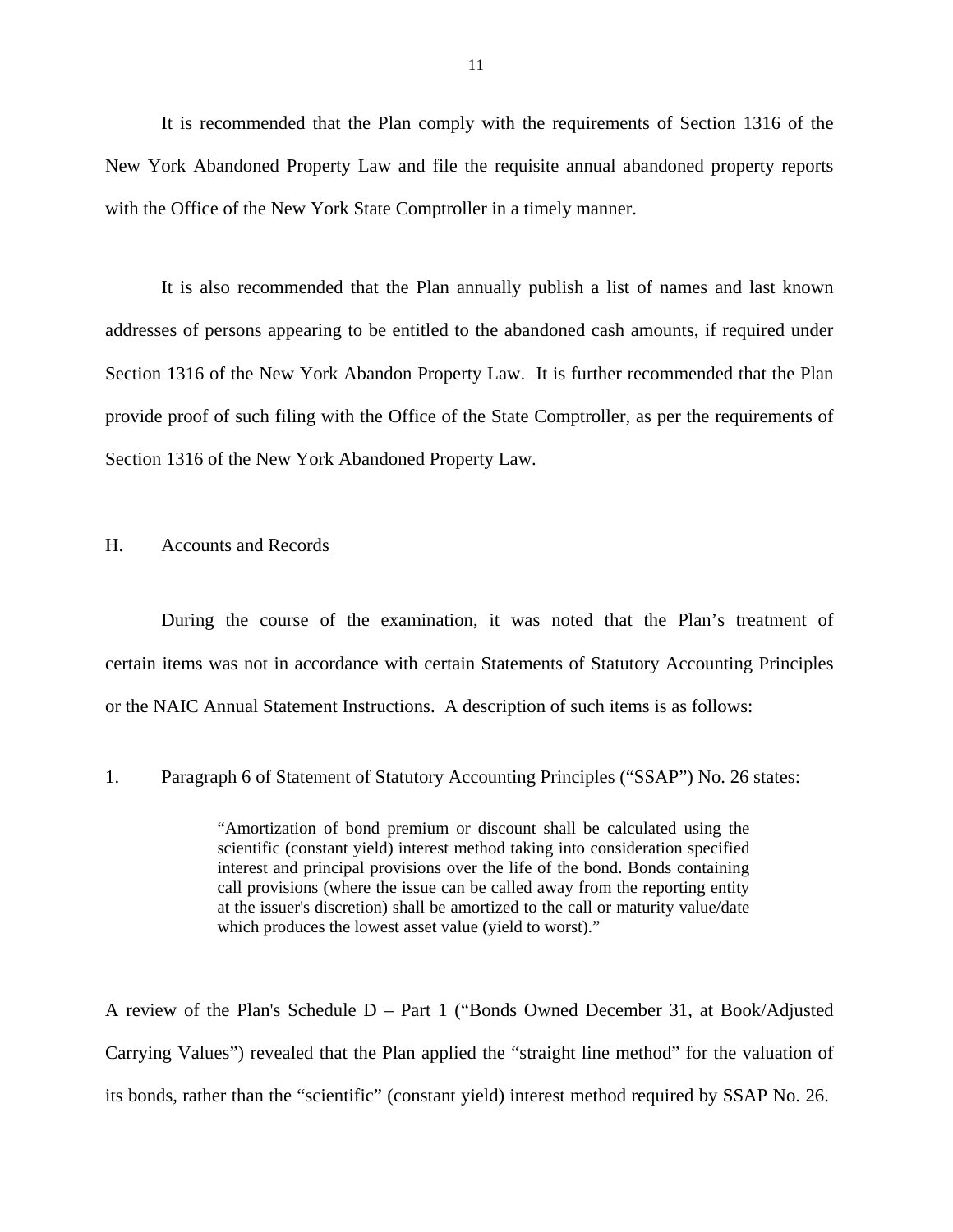<span id="page-12-0"></span>It is recommended that the Plan comply with the requirements of Section 1316 of the New York Abandoned Property Law and file the requisite annual abandoned property reports with the Office of the New York State Comptroller in a timely manner.

It is also recommended that the Plan annually publish a list of names and last known addresses of persons appearing to be entitled to the abandoned cash amounts, if required under Section 1316 of the New York Abandon Property Law. It is further recommended that the Plan provide proof of such filing with the Office of the State Comptroller, as per the requirements of Section 1316 of the New York Abandoned Property Law.

#### H. Accounts and Records

During the course of the examination, it was noted that the Plan's treatment of certain items was not in accordance with certain Statements of Statutory Accounting Principles or the NAIC Annual Statement Instructions. A description of such items is as follows:

1. Paragraph 6 of Statement of Statutory Accounting Principles ("SSAP") No. 26 states:

"Amortization of bond premium or discount shall be calculated using the scientific (constant yield) interest method taking into consideration specified interest and principal provisions over the life of the bond. Bonds containing call provisions (where the issue can be called away from the reporting entity at the issuer's discretion) shall be amortized to the call or maturity value/date which produces the lowest asset value (yield to worst)."

A review of the Plan's Schedule D – Part 1 ("Bonds Owned December 31, at Book/Adjusted Carrying Values") revealed that the Plan applied the "straight line method" for the valuation of its bonds, rather than the "scientific" (constant yield) interest method required by SSAP No. 26.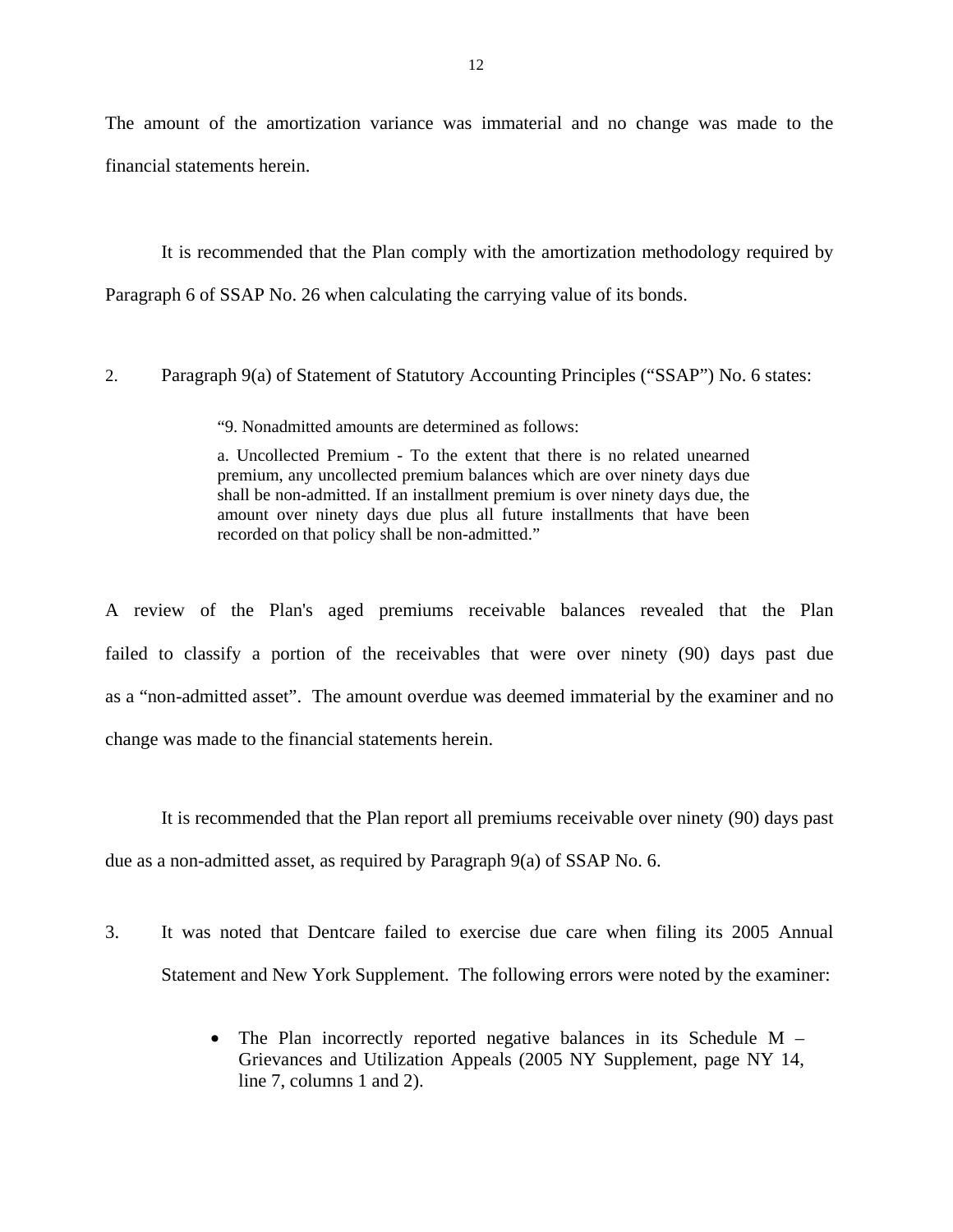The amount of the amortization variance was immaterial and no change was made to the financial statements herein.

It is recommended that the Plan comply with the amortization methodology required by Paragraph 6 of SSAP No. 26 when calculating the carrying value of its bonds.

2. Paragraph 9(a) of Statement of Statutory Accounting Principles ("SSAP") No. 6 states:

"9. Nonadmitted amounts are determined as follows:

 shall be non-admitted. If an installment premium is over ninety days due, the a. Uncollected Premium - To the extent that there is no related unearned premium, any uncollected premium balances which are over ninety days due amount over ninety days due plus all future installments that have been recorded on that policy shall be non-admitted."

A review of the Plan's aged premiums receivable balances revealed that the Plan failed to classify a portion of the receivables that were over ninety (90) days past due as a "non-admitted asset". The amount overdue was deemed immaterial by the examiner and no change was made to the financial statements herein.

It is recommended that the Plan report all premiums receivable over ninety (90) days past due as a non-admitted asset, as required by Paragraph 9(a) of SSAP No. 6.

- 3. It was noted that Dentcare failed to exercise due care when filing its 2005 Annual Statement and New York Supplement. The following errors were noted by the examiner:
	- The Plan incorrectly reported negative balances in its Schedule M Grievances and Utilization Appeals (2005 NY Supplement, page NY 14, line 7, columns 1 and 2).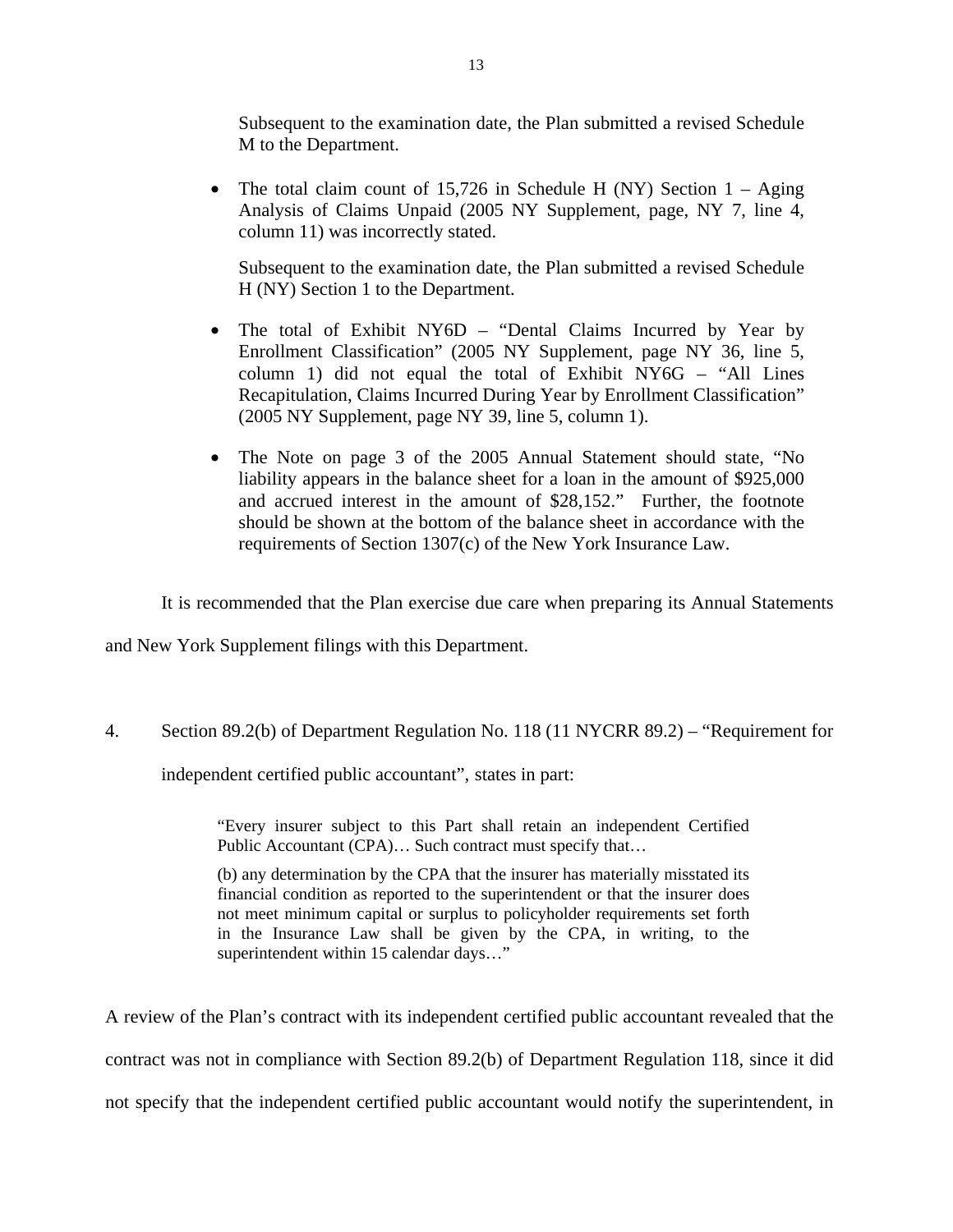Subsequent to the examination date, the Plan submitted a revised Schedule M to the Department.

• The total claim count of 15,726 in Schedule H (NY) Section  $1 - \text{Again}$ Analysis of Claims Unpaid (2005 NY Supplement, page, NY 7, line 4, column 11) was incorrectly stated.

Subsequent to the examination date, the Plan submitted a revised Schedule H (NY) Section 1 to the Department.

- The total of Exhibit NY6D "Dental Claims Incurred by Year by Enrollment Classification" (2005 NY Supplement, page NY 36, line 5, column 1) did not equal the total of Exhibit NY6G – "All Lines Recapitulation, Claims Incurred During Year by Enrollment Classification" (2005 NY Supplement, page NY 39, line 5, column 1).
- The Note on page 3 of the 2005 Annual Statement should state, "No liability appears in the balance sheet for a loan in the amount of \$925,000 and accrued interest in the amount of \$28,152." Further, the footnote should be shown at the bottom of the balance sheet in accordance with the requirements of Section 1307(c) of the New York Insurance Law.

It is recommended that the Plan exercise due care when preparing its Annual Statements

and New York Supplement filings with this Department.

4. Section 89.2(b) of Department Regulation No. 118 (11 NYCRR 89.2) – "Requirement for

independent certified public accountant", states in part:

"Every insurer subject to this Part shall retain an independent Certified Public Accountant (CPA)… Such contract must specify that…

(b) any determination by the CPA that the insurer has materially misstated its financial condition as reported to the superintendent or that the insurer does not meet minimum capital or surplus to policyholder requirements set forth in the Insurance Law shall be given by the CPA, in writing, to the superintendent within 15 calendar days..."

A review of the Plan's contract with its independent certified public accountant revealed that the contract was not in compliance with Section 89.2(b) of Department Regulation 118, since it did not specify that the independent certified public accountant would notify the superintendent, in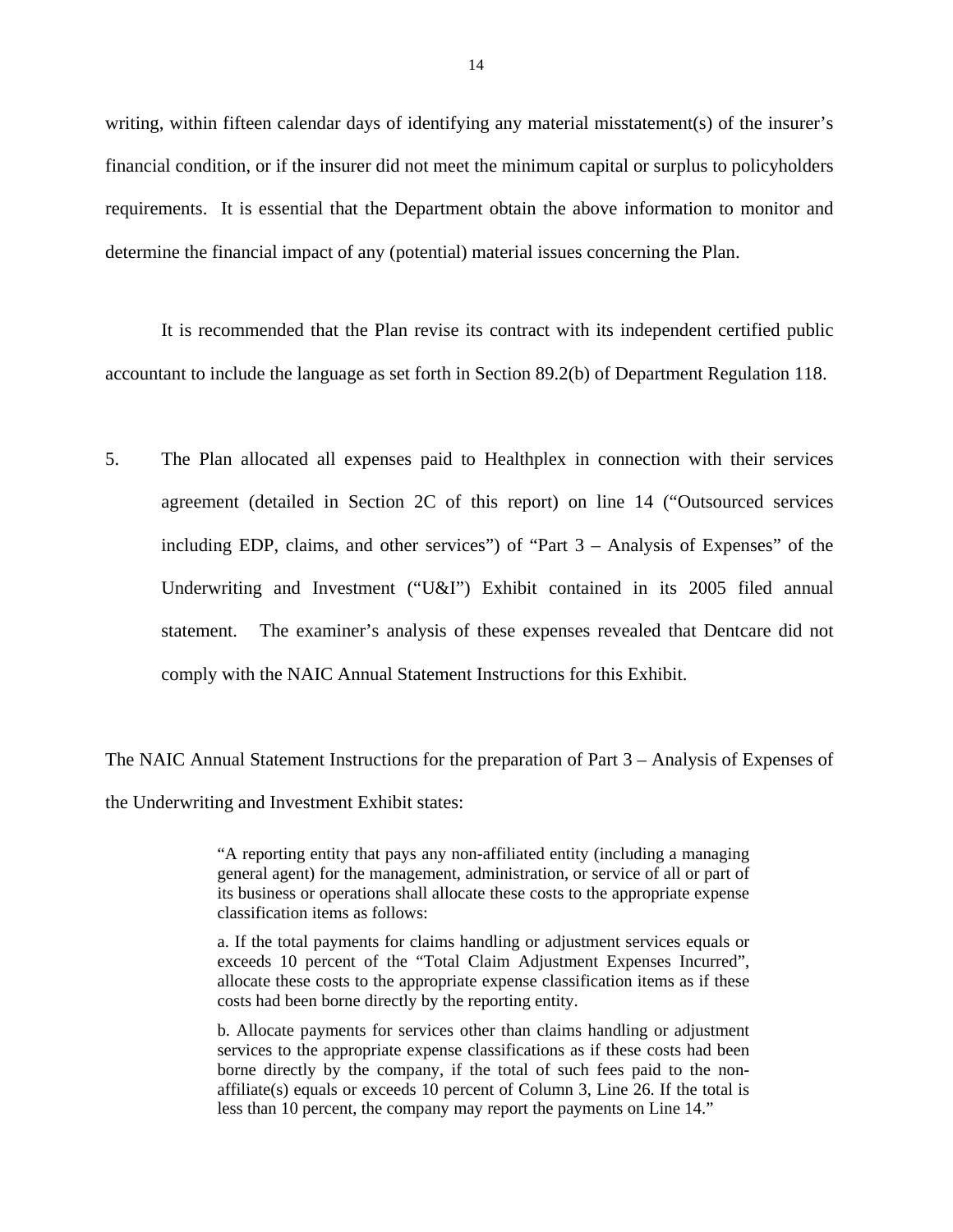writing, within fifteen calendar days of identifying any material misstatement(s) of the insurer's financial condition, or if the insurer did not meet the minimum capital or surplus to policyholders requirements. It is essential that the Department obtain the above information to monitor and determine the financial impact of any (potential) material issues concerning the Plan.

It is recommended that the Plan revise its contract with its independent certified public accountant to include the language as set forth in Section 89.2(b) of Department Regulation 118.

5. The Plan allocated all expenses paid to Healthplex in connection with their services agreement (detailed in Section 2C of this report) on line 14 ("Outsourced services including EDP, claims, and other services") of "Part 3 – Analysis of Expenses" of the Underwriting and Investment ("U&I") Exhibit contained in its 2005 filed annual statement. The examiner's analysis of these expenses revealed that Dentcare did not comply with the NAIC Annual Statement Instructions for this Exhibit.

The NAIC Annual Statement Instructions for the preparation of Part 3 – Analysis of Expenses of the Underwriting and Investment Exhibit states:

> "A reporting entity that pays any non-affiliated entity (including a managing general agent) for the management, administration, or service of all or part of its business or operations shall allocate these costs to the appropriate expense classification items as follows:

> a. If the total payments for claims handling or adjustment services equals or exceeds 10 percent of the "Total Claim Adjustment Expenses Incurred", allocate these costs to the appropriate expense classification items as if these costs had been borne directly by the reporting entity.

> b. Allocate payments for services other than claims handling or adjustment services to the appropriate expense classifications as if these costs had been borne directly by the company, if the total of such fees paid to the nonaffiliate(s) equals or exceeds 10 percent of Column 3, Line 26. If the total is less than 10 percent, the company may report the payments on Line 14."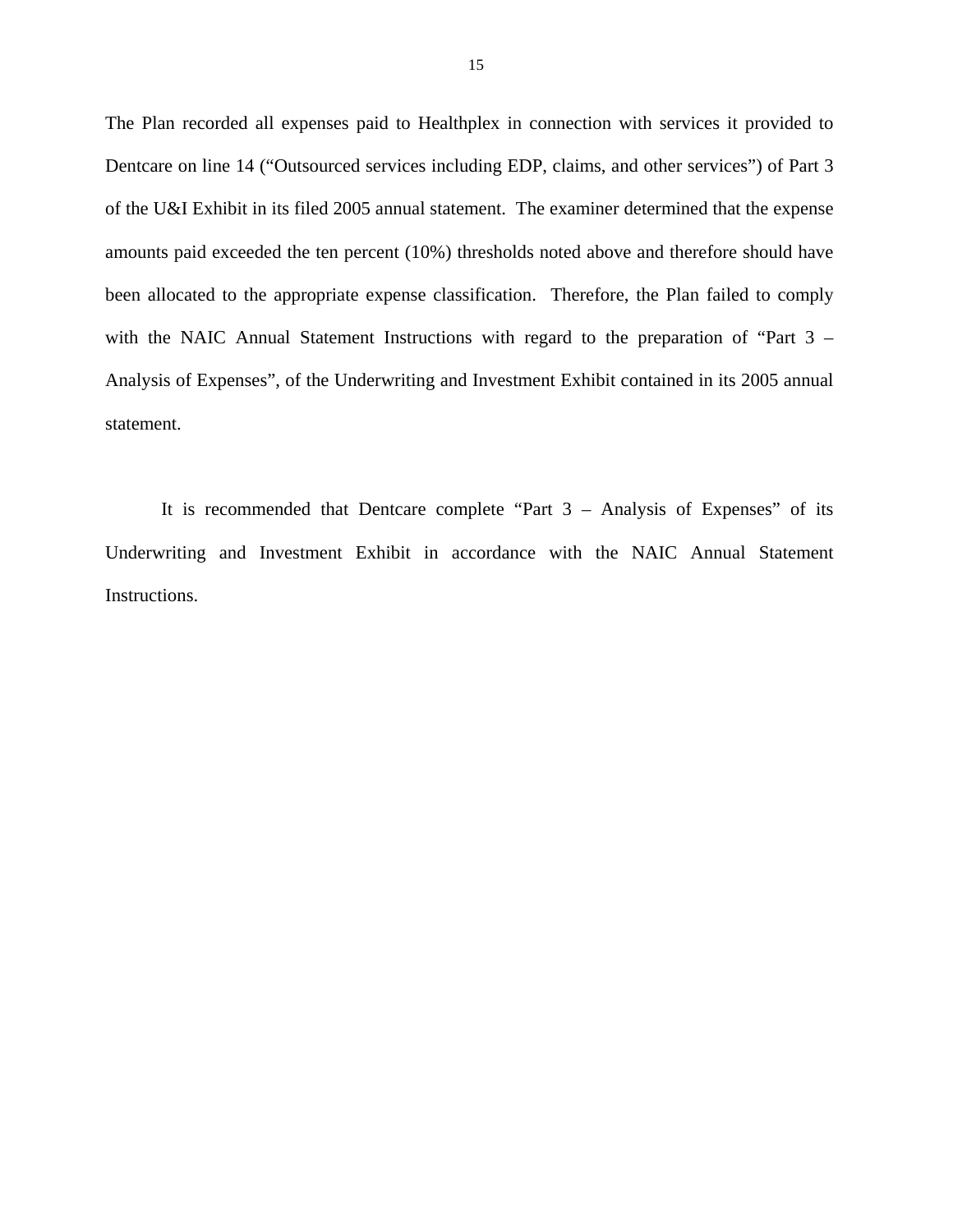The Plan recorded all expenses paid to Healthplex in connection with services it provided to Dentcare on line 14 ("Outsourced services including EDP, claims, and other services") of Part 3 of the U&I Exhibit in its filed 2005 annual statement. The examiner determined that the expense amounts paid exceeded the ten percent (10%) thresholds noted above and therefore should have been allocated to the appropriate expense classification. Therefore, the Plan failed to comply with the NAIC Annual Statement Instructions with regard to the preparation of "Part 3 – Analysis of Expenses", of the Underwriting and Investment Exhibit contained in its 2005 annual statement.

 Instructions. It is recommended that Dentcare complete "Part 3 – Analysis of Expenses" of its Underwriting and Investment Exhibit in accordance with the NAIC Annual Statement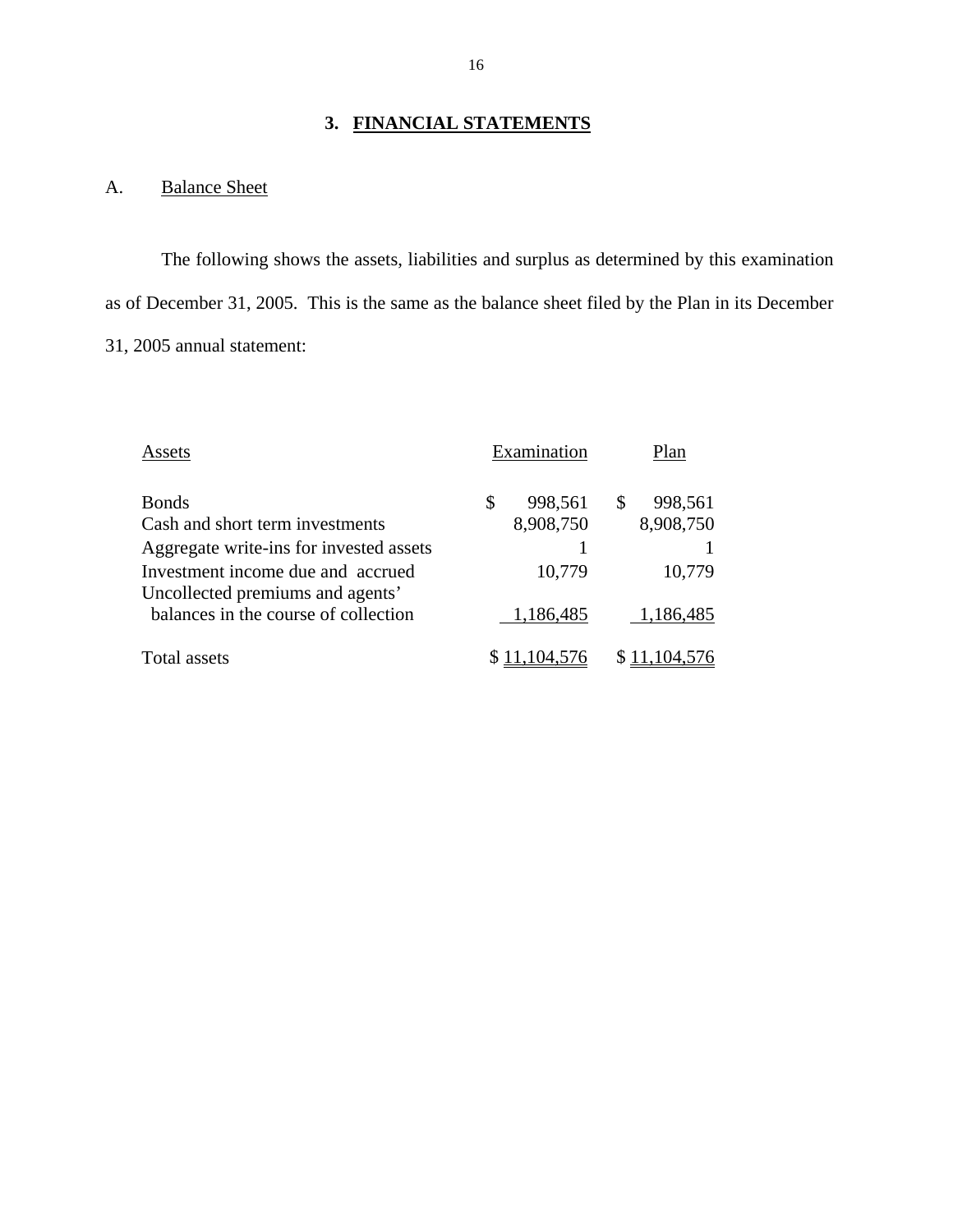# **3. FINANCIAL STATEMENTS**

# A. Balance Sheet

The following shows the assets, liabilities and surplus as determined by this examination as of December 31, 2005. This is the same as the balance sheet filed by the Plan in its December 31, 2005 annual statement:

| Assets                                                                   | Examination   | Plan         |
|--------------------------------------------------------------------------|---------------|--------------|
| <b>Bonds</b>                                                             | \$<br>998,561 | S<br>998,561 |
| Cash and short term investments                                          | 8,908,750     | 8,908,750    |
| Aggregate write-ins for invested assets                                  |               |              |
| Investment income due and accrued                                        | 10,779        | 10,779       |
| Uncollected premiums and agents'<br>balances in the course of collection | 1,186,485     | 1,186,485    |
| Total assets                                                             |               |              |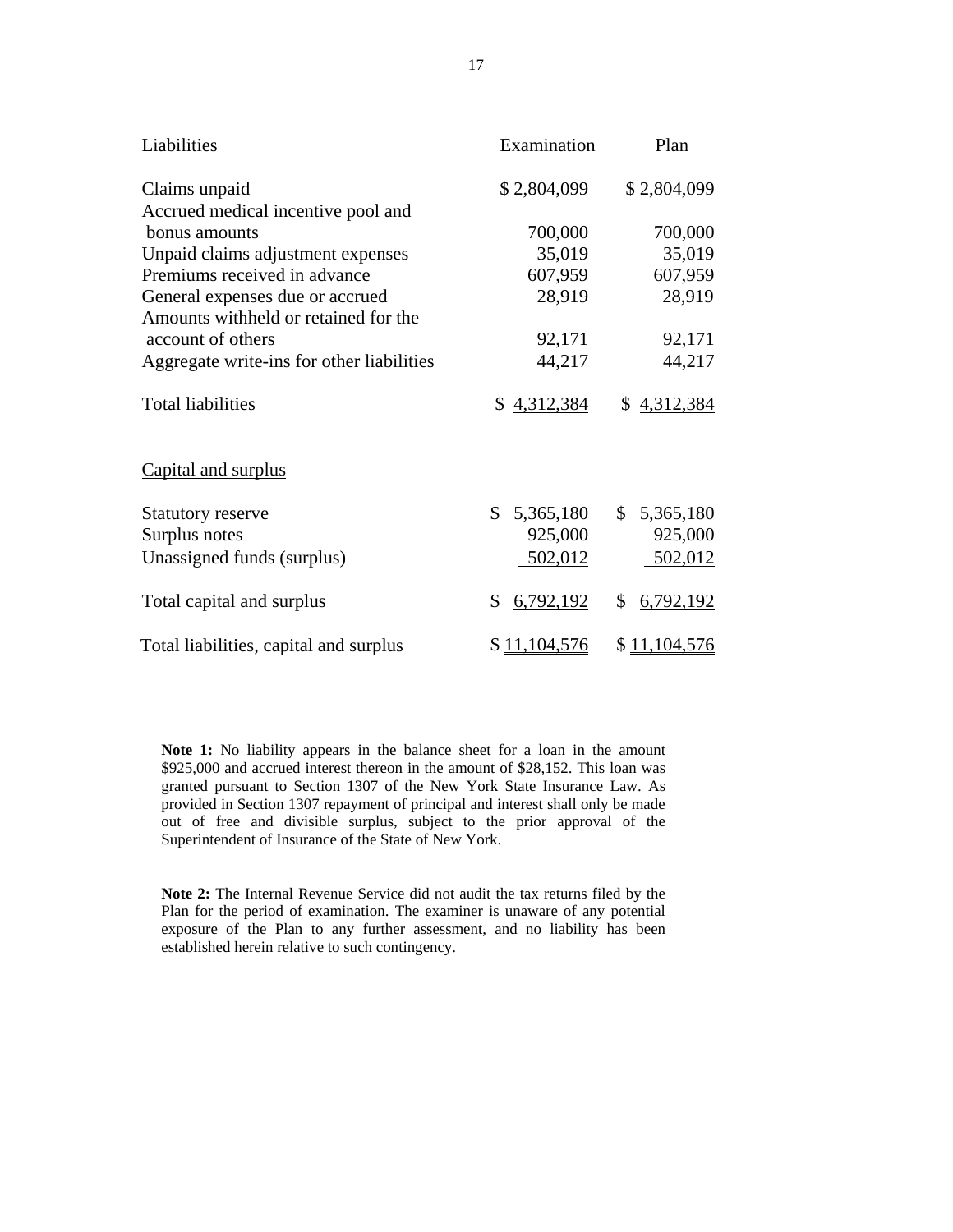| Liabilities                               | Examination     | Plan            |
|-------------------------------------------|-----------------|-----------------|
| Claims unpaid                             | \$2,804,099     | \$2,804,099     |
| Accrued medical incentive pool and        |                 |                 |
| bonus amounts                             | 700,000         | 700,000         |
| Unpaid claims adjustment expenses         | 35,019          | 35,019          |
| Premiums received in advance              | 607,959         | 607,959         |
| General expenses due or accrued           | 28,919          | 28,919          |
| Amounts withheld or retained for the      |                 |                 |
| account of others                         | 92,171          | 92,171          |
| Aggregate write-ins for other liabilities | 44,217          | <u>44,217</u>   |
| <b>Total liabilities</b>                  | \$4,312,384     | \$4,312,384     |
| Capital and surplus                       |                 |                 |
| Statutory reserve                         | \$<br>5,365,180 | \$<br>5,365,180 |
| Surplus notes                             | 925,000         | 925,000         |
| Unassigned funds (surplus)                | 502,012         | 502,012         |
| Total capital and surplus                 | \$<br>6,792,192 | \$<br>6,792,192 |
| Total liabilities, capital and surplus    | \$11,104,576    | \$11,104,576    |

 provided in Section 1307 repayment of principal and interest shall only be made **Note 1:** No liability appears in the balance sheet for a loan in the amount \$925,000 and accrued interest thereon in the amount of \$28,152. This loan was granted pursuant to Section 1307 of the New York State Insurance Law. As out of free and divisible surplus, subject to the prior approval of the Superintendent of Insurance of the State of New York.

**Note 2:** The Internal Revenue Service did not audit the tax returns filed by the Plan for the period of examination. The examiner is unaware of any potential exposure of the Plan to any further assessment, and no liability has been established herein relative to such contingency.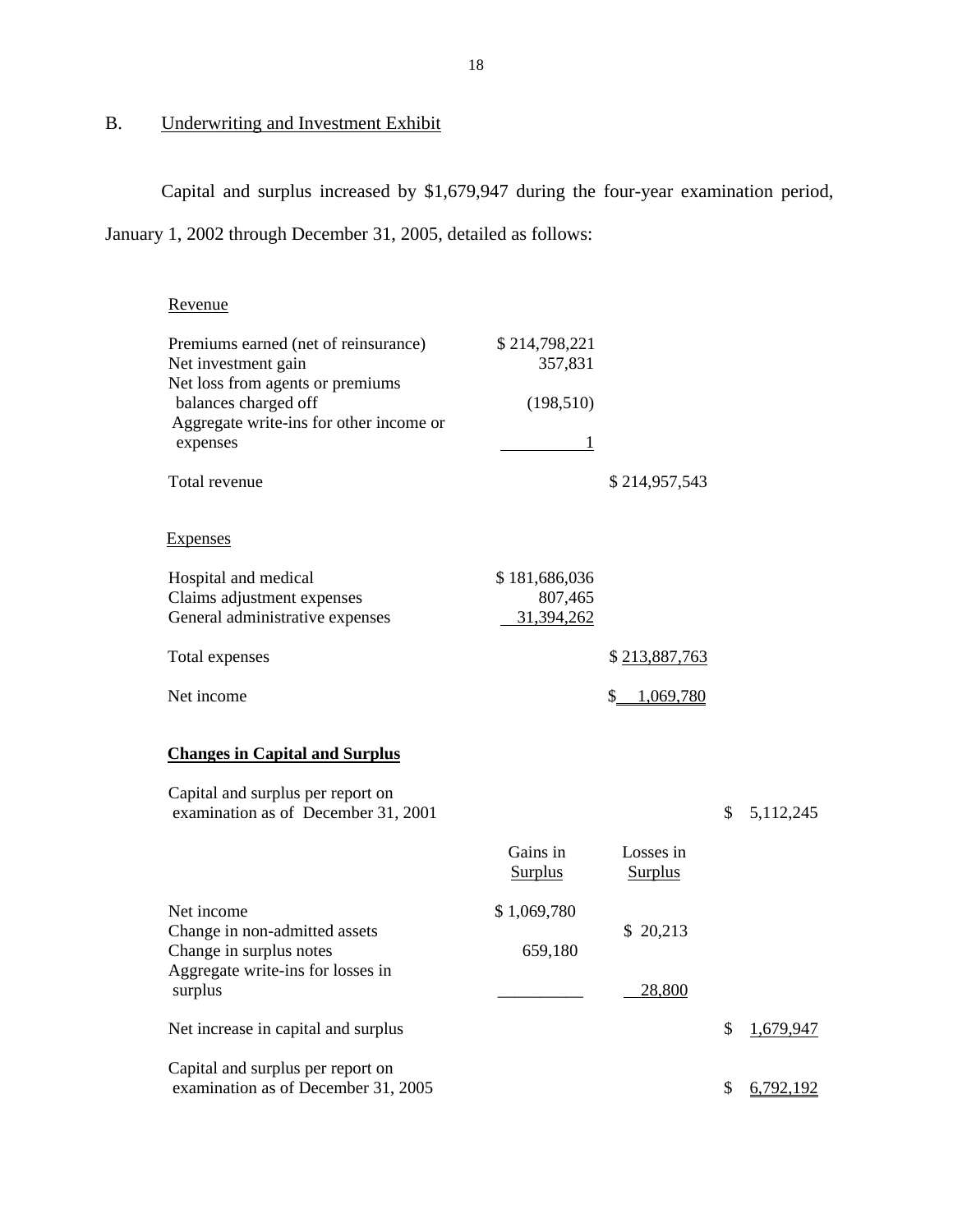# **Underwriting and Investment Exhibit**

B. Underwriting and Investment Exhibit<br>Capital and surplus increased by \$1,679,947 during the four-year examination period,

January 1, 2002 through December 31, 2005, detailed as follows:

| Revenue                                                                                             |                            |                             |                 |
|-----------------------------------------------------------------------------------------------------|----------------------------|-----------------------------|-----------------|
| Premiums earned (net of reinsurance)<br>Net investment gain                                         | \$214,798,221<br>357,831   |                             |                 |
| Net loss from agents or premiums<br>balances charged off<br>Aggregate write-ins for other income or | (198, 510)                 |                             |                 |
| expenses                                                                                            | 1                          |                             |                 |
| Total revenue                                                                                       |                            | \$214,957,543               |                 |
| <b>Expenses</b>                                                                                     |                            |                             |                 |
| Hospital and medical<br>Claims adjustment expenses                                                  | \$181,686,036<br>807,465   |                             |                 |
| General administrative expenses                                                                     | 31,394,262                 |                             |                 |
| Total expenses                                                                                      |                            | \$213,887,763               |                 |
| Net income                                                                                          |                            | \$1,069,780                 |                 |
| <b>Changes in Capital and Surplus</b>                                                               |                            |                             |                 |
| Capital and surplus per report on<br>examination as of December 31, 2001                            |                            |                             | \$<br>5,112,245 |
|                                                                                                     | Gains in<br><b>Surplus</b> | Losses in<br><b>Surplus</b> |                 |
| Net income                                                                                          | \$1,069,780                |                             |                 |
| Change in non-admitted assets<br>Change in surplus notes                                            | 659,180                    | \$20,213                    |                 |
| Aggregate write-ins for losses in<br>surplus                                                        |                            | 28,800                      |                 |
| Net increase in capital and surplus                                                                 |                            |                             | \$<br>1,679,947 |
| Capital and surplus per report on<br>examination as of December 31, 2005                            |                            |                             | \$<br>6,792,192 |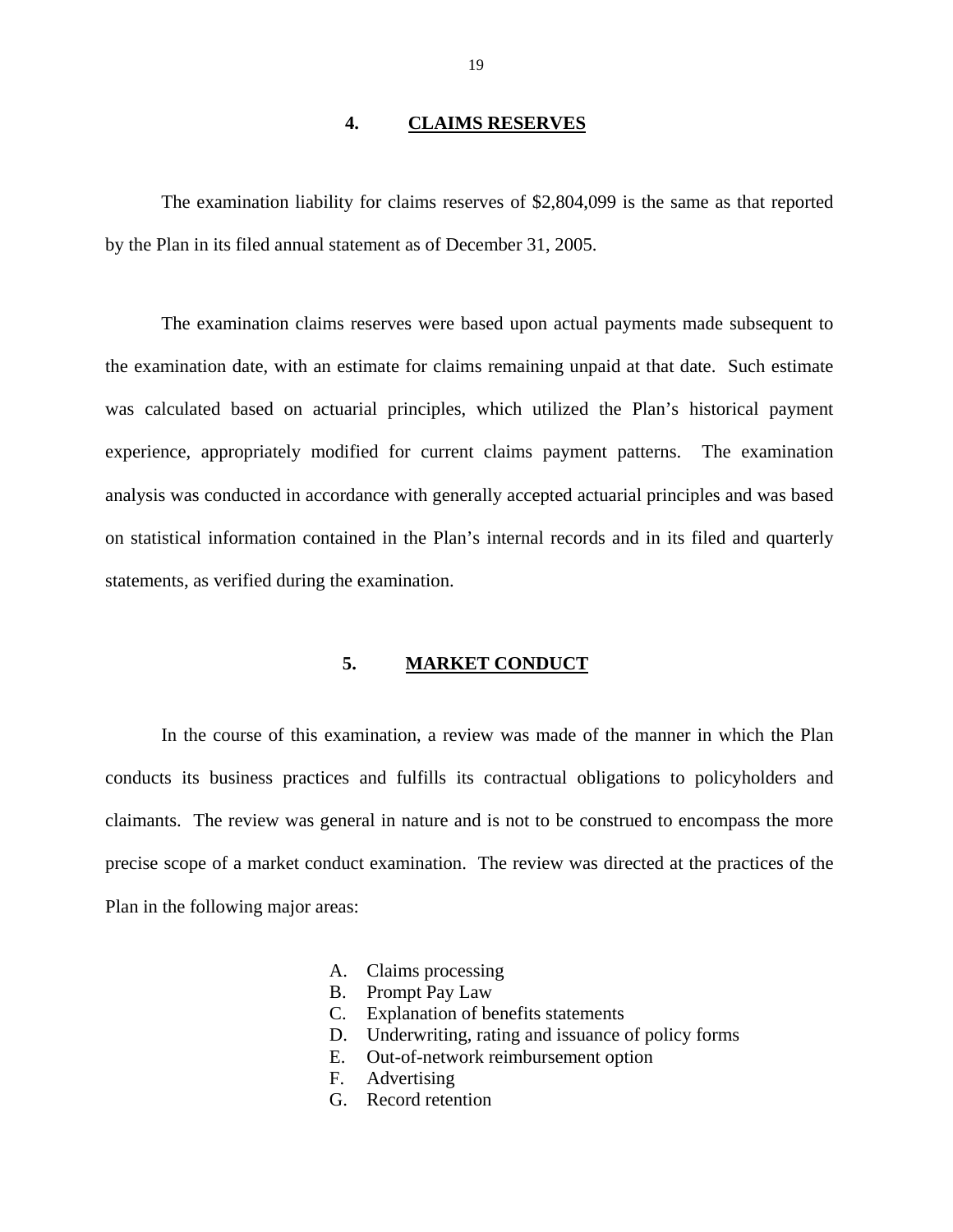#### **4. CLAIMS RESERVES**

<span id="page-20-0"></span>The examination liability for claims reserves of \$2,804,099 is the same as that reported by the Plan in its filed annual statement as of December 31, 2005.

The examination claims reserves were based upon actual payments made subsequent to the examination date, with an estimate for claims remaining unpaid at that date. Such estimate was calculated based on actuarial principles, which utilized the Plan's historical payment experience, appropriately modified for current claims payment patterns. The examination analysis was conducted in accordance with generally accepted actuarial principles and was based on statistical information contained in the Plan's internal records and in its filed and quarterly statements, as verified during the examination.

#### **5. MARKET CONDUCT**

In the course of this examination, a review was made of the manner in which the Plan conducts its business practices and fulfills its contractual obligations to policyholders and claimants. The review was general in nature and is not to be construed to encompass the more precise scope of a market conduct examination. The review was directed at the practices of the Plan in the following major areas:

- A. Claims processing
- B. Prompt Pay Law
- C. Explanation of benefits statements
- D. Underwriting, rating and issuance of policy forms
- E. Out-of-network reimbursement option
- F. Advertising
- G. Record retention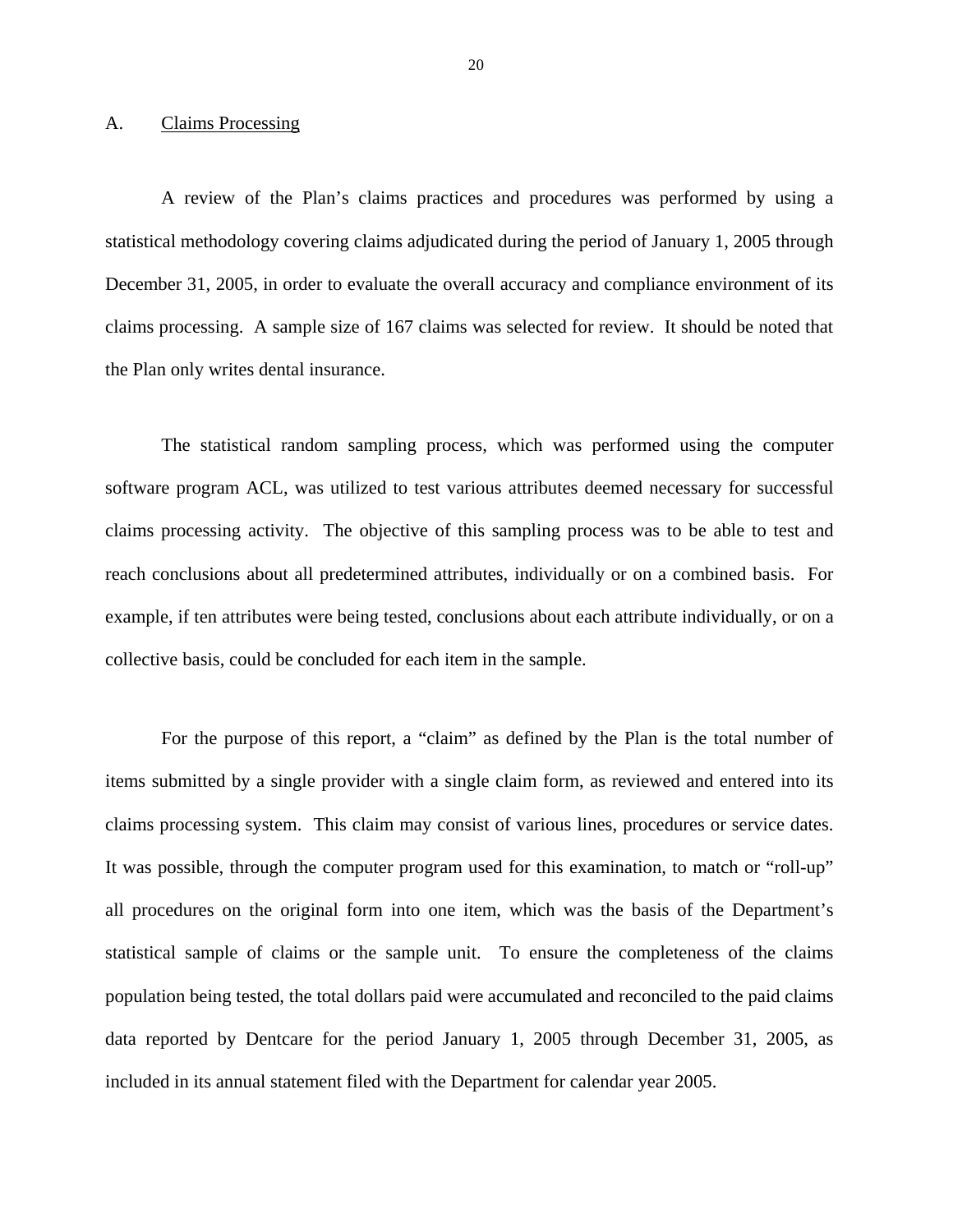#### <span id="page-21-0"></span>**Claims Processing**

A. Claims Processing<br>A review of the Plan's claims practices and procedures was performed by using a statistical methodology covering claims adjudicated during the period of January 1, 2005 through December 31, 2005, in order to evaluate the overall accuracy and compliance environment of its claims processing. A sample size of 167 claims was selected for review. It should be noted that the Plan only writes dental insurance.

The statistical random sampling process, which was performed using the computer software program ACL, was utilized to test various attributes deemed necessary for successful claims processing activity. The objective of this sampling process was to be able to test and reach conclusions about all predetermined attributes, individually or on a combined basis. For example, if ten attributes were being tested, conclusions about each attribute individually, or on a collective basis, could be concluded for each item in the sample.

For the purpose of this report, a "claim" as defined by the Plan is the total number of items submitted by a single provider with a single claim form, as reviewed and entered into its claims processing system. This claim may consist of various lines, procedures or service dates. It was possible, through the computer program used for this examination, to match or "roll-up" all procedures on the original form into one item, which was the basis of the Department's statistical sample of claims or the sample unit. To ensure the completeness of the claims population being tested, the total dollars paid were accumulated and reconciled to the paid claims data reported by Dentcare for the period January 1, 2005 through December 31, 2005, as included in its annual statement filed with the Department for calendar year 2005.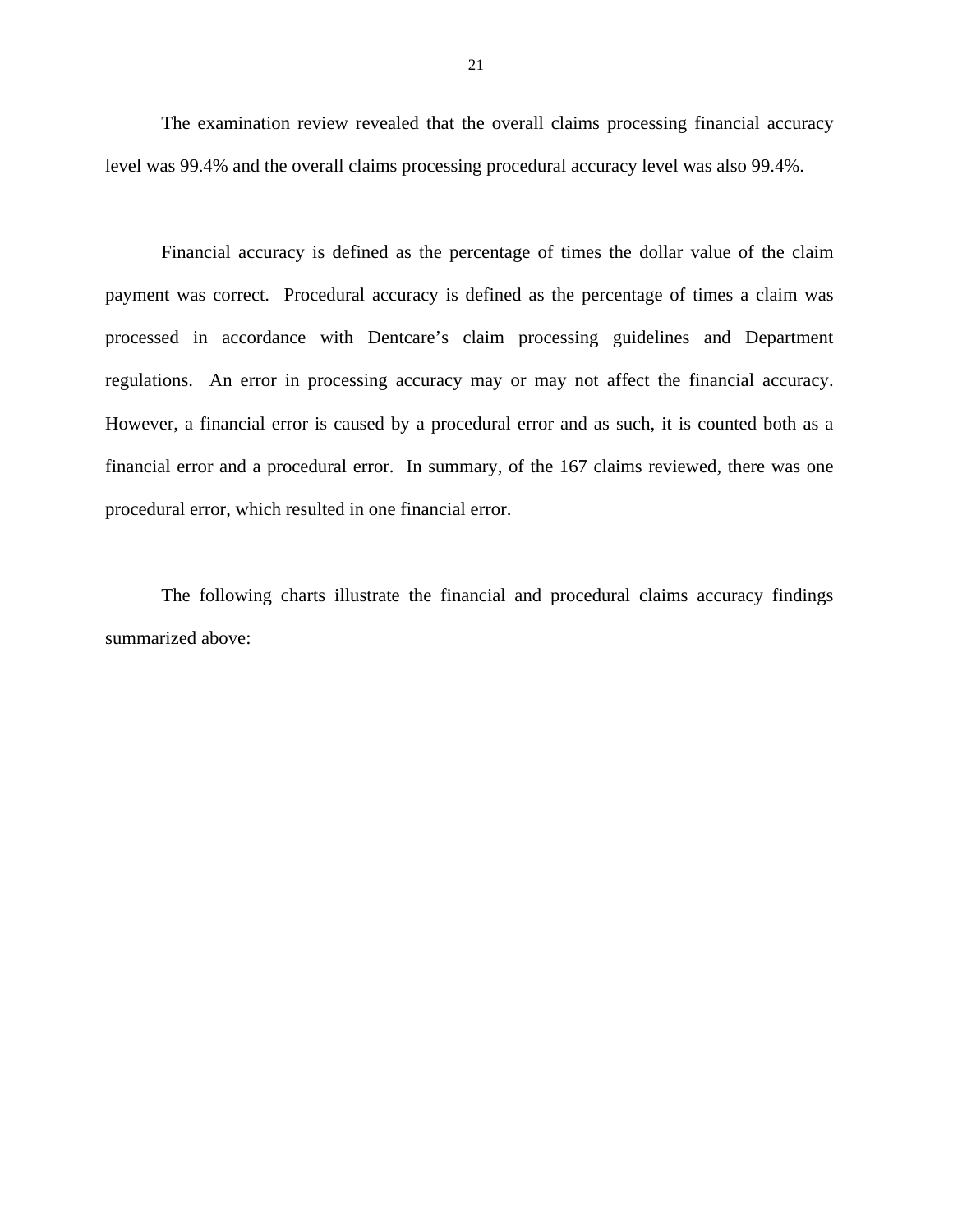The examination review revealed that the overall claims processing financial accuracy level was 99.4% and the overall claims processing procedural accuracy level was also 99.4%.

Financial accuracy is defined as the percentage of times the dollar value of the claim payment was correct. Procedural accuracy is defined as the percentage of times a claim was processed in accordance with Dentcare's claim processing guidelines and Department regulations. An error in processing accuracy may or may not affect the financial accuracy. However, a financial error is caused by a procedural error and as such, it is counted both as a financial error and a procedural error. In summary, of the 167 claims reviewed, there was one procedural error, which resulted in one financial error.

The following charts illustrate the financial and procedural claims accuracy findings summarized above: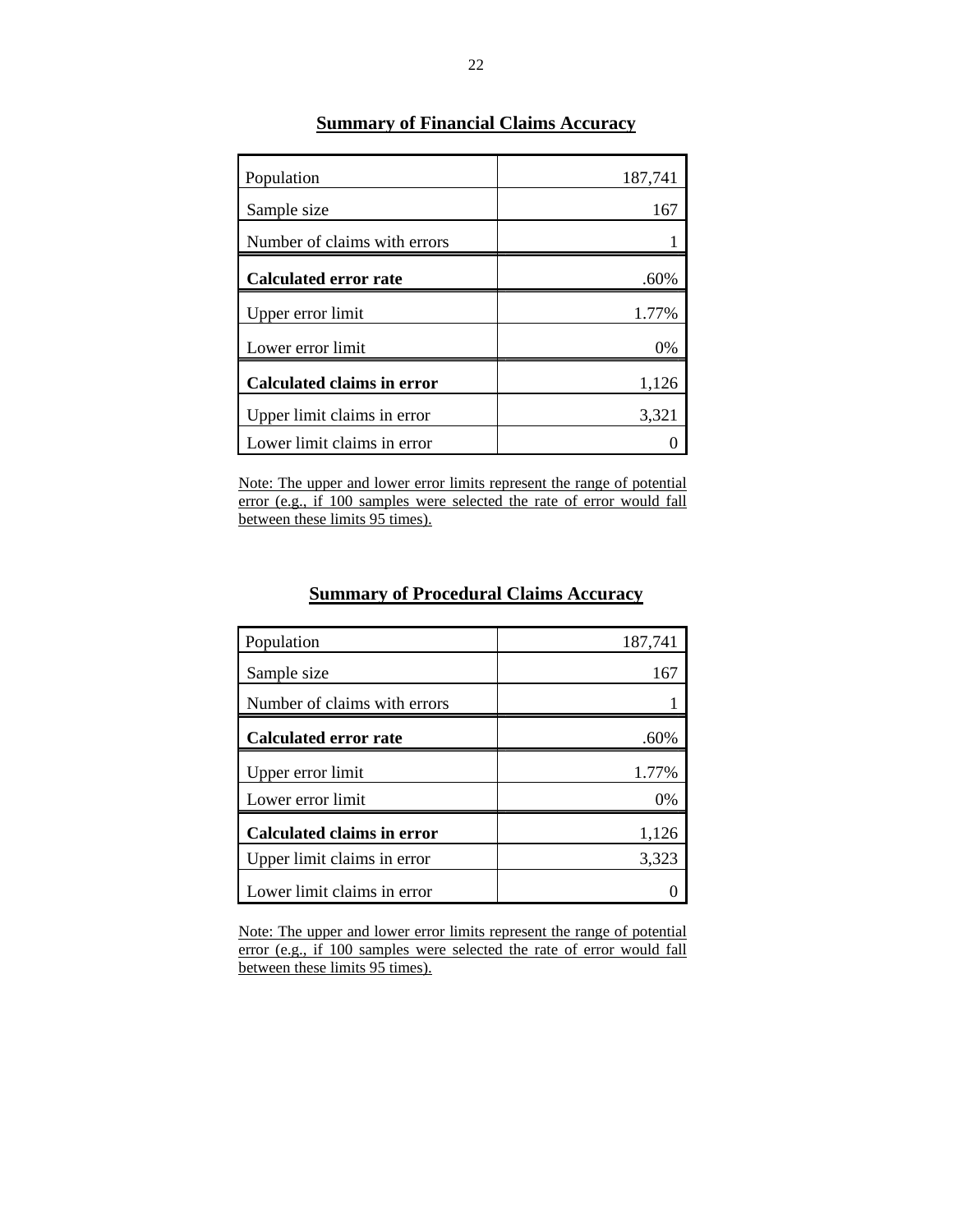| Population                   | 187,741 |
|------------------------------|---------|
| Sample size                  | 167     |
| Number of claims with errors |         |
| <b>Calculated error rate</b> | .60%    |
| Upper error limit            | 1.77%   |
| Lower error limit            | 0%      |
| Calculated claims in error   | 1,126   |
| Upper limit claims in error  | 3,321   |
| Lower limit claims in error  |         |

# **Summary of Financial Claims Accuracy**

Note: The upper and lower error limits represent the range of potential error (e.g., if 100 samples were selected the rate of error would fall between these limits 95 times).

# **Summary of Procedural Claims Accuracy**

| Population                        | 187,741 |
|-----------------------------------|---------|
| Sample size                       | 167     |
| Number of claims with errors      |         |
| Calculated error rate             | .60%    |
| Upper error limit                 | 1.77%   |
| Lower error limit                 | 0%      |
| <b>Calculated claims in error</b> | 1,126   |
| Upper limit claims in error       | 3,323   |
| Lower limit claims in error       |         |

Note: The upper and lower error limits represent the range of potential error (e.g., if 100 samples were selected the rate of error would fall between these limits 95 times).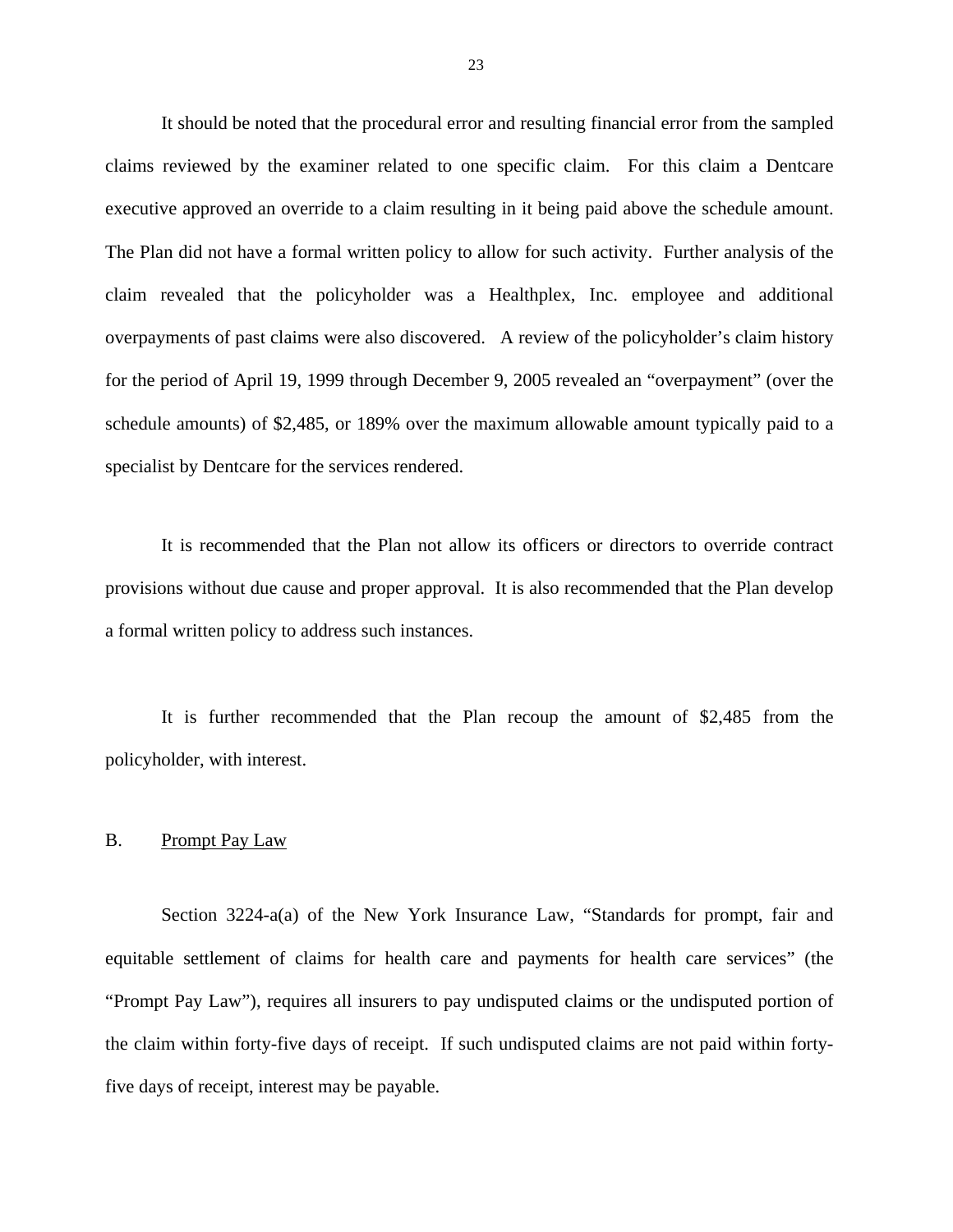<span id="page-24-0"></span>It should be noted that the procedural error and resulting financial error from the sampled claims reviewed by the examiner related to one specific claim. For this claim a Dentcare executive approved an override to a claim resulting in it being paid above the schedule amount. The Plan did not have a formal written policy to allow for such activity. Further analysis of the claim revealed that the policyholder was a Healthplex, Inc. employee and additional overpayments of past claims were also discovered. A review of the policyholder's claim history for the period of April 19, 1999 through December 9, 2005 revealed an "overpayment" (over the schedule amounts) of \$2,485, or 189% over the maximum allowable amount typically paid to a specialist by Dentcare for the services rendered.

a formal written policy to address such instances. It is recommended that the Plan not allow its officers or directors to override contract provisions without due cause and proper approval. It is also recommended that the Plan develop

It is further recommended that the Plan recoup the amount of  $$2,485$  from the policyholder, with interest.

#### B. Prompt Pay Law

Section 3224-a(a) of the New York Insurance Law, "Standards for prompt, fair and equitable settlement of claims for health care and payments for health care services" (the "Prompt Pay Law"), requires all insurers to pay undisputed claims or the undisputed portion of the claim within forty-five days of receipt. If such undisputed claims are not paid within fortyfive days of receipt, interest may be payable.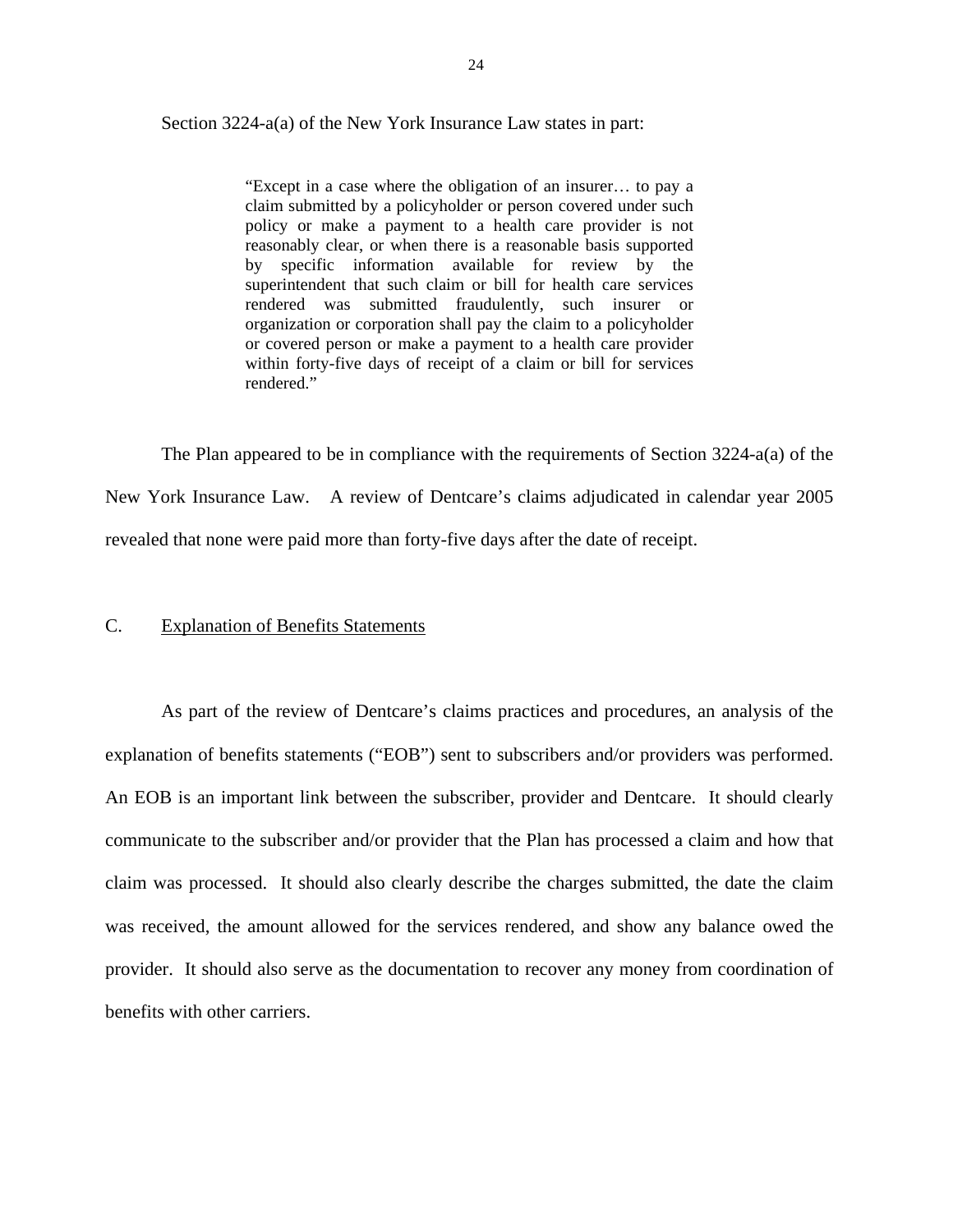<span id="page-25-0"></span>Section 3224-a(a) of the New York Insurance Law states in part:

"Except in a case where the obligation of an insurer… to pay a claim submitted by a policyholder or person covered under such policy or make a payment to a health care provider is not reasonably clear, or when there is a reasonable basis supported by specific information available for review by the superintendent that such claim or bill for health care services rendered was submitted fraudulently, such insurer or organization or corporation shall pay the claim to a policyholder or covered person or make a payment to a health care provider within forty-five days of receipt of a claim or bill for services rendered."

The Plan appeared to be in compliance with the requirements of Section 3224-a(a) of the New York Insurance Law. A review of Dentcare's claims adjudicated in calendar year 2005 revealed that none were paid more than forty-five days after the date of receipt.

#### C. Explanation of Benefits Statements

As part of the review of Dentcare's claims practices and procedures, an analysis of the explanation of benefits statements ("EOB") sent to subscribers and/or providers was performed. An EOB is an important link between the subscriber, provider and Dentcare. It should clearly communicate to the subscriber and/or provider that the Plan has processed a claim and how that claim was processed. It should also clearly describe the charges submitted, the date the claim was received, the amount allowed for the services rendered, and show any balance owed the provider. It should also serve as the documentation to recover any money from coordination of benefits with other carriers.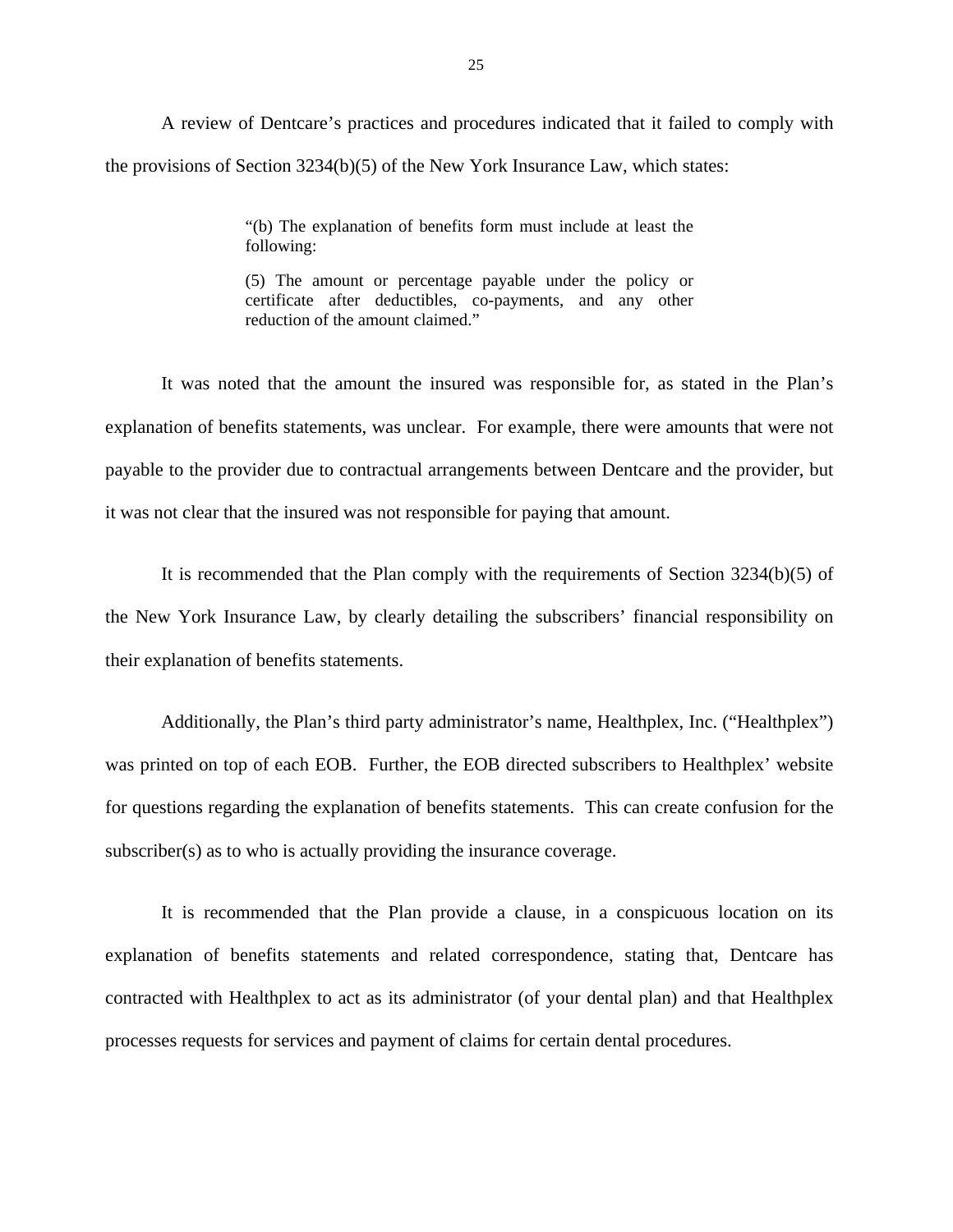A review of Dentcare's practices and procedures indicated that it failed to comply with the provisions of Section 3234(b)(5) of the New York Insurance Law, which states:

> "(b) The explanation of benefits form must include at least the following:

> (5) The amount or percentage payable under the policy or certificate after deductibles, co-payments, and any other reduction of the amount claimed."

It was noted that the amount the insured was responsible for, as stated in the Plan's explanation of benefits statements, was unclear. For example, there were amounts that were not payable to the provider due to contractual arrangements between Dentcare and the provider, but it was not clear that the insured was not responsible for paying that amount.

It is recommended that the Plan comply with the requirements of Section 3234(b)(5) of the New York Insurance Law, by clearly detailing the subscribers' financial responsibility on their explanation of benefits statements.

Additionally, the Plan's third party administrator's name, Healthplex, Inc. ("Healthplex") was printed on top of each EOB. Further, the EOB directed subscribers to Healthplex' website for questions regarding the explanation of benefits statements. This can create confusion for the subscriber(s) as to who is actually providing the insurance coverage.

It is recommended that the Plan provide a clause, in a conspicuous location on its explanation of benefits statements and related correspondence, stating that, Dentcare has contracted with Healthplex to act as its administrator (of your dental plan) and that Healthplex processes requests for services and payment of claims for certain dental procedures.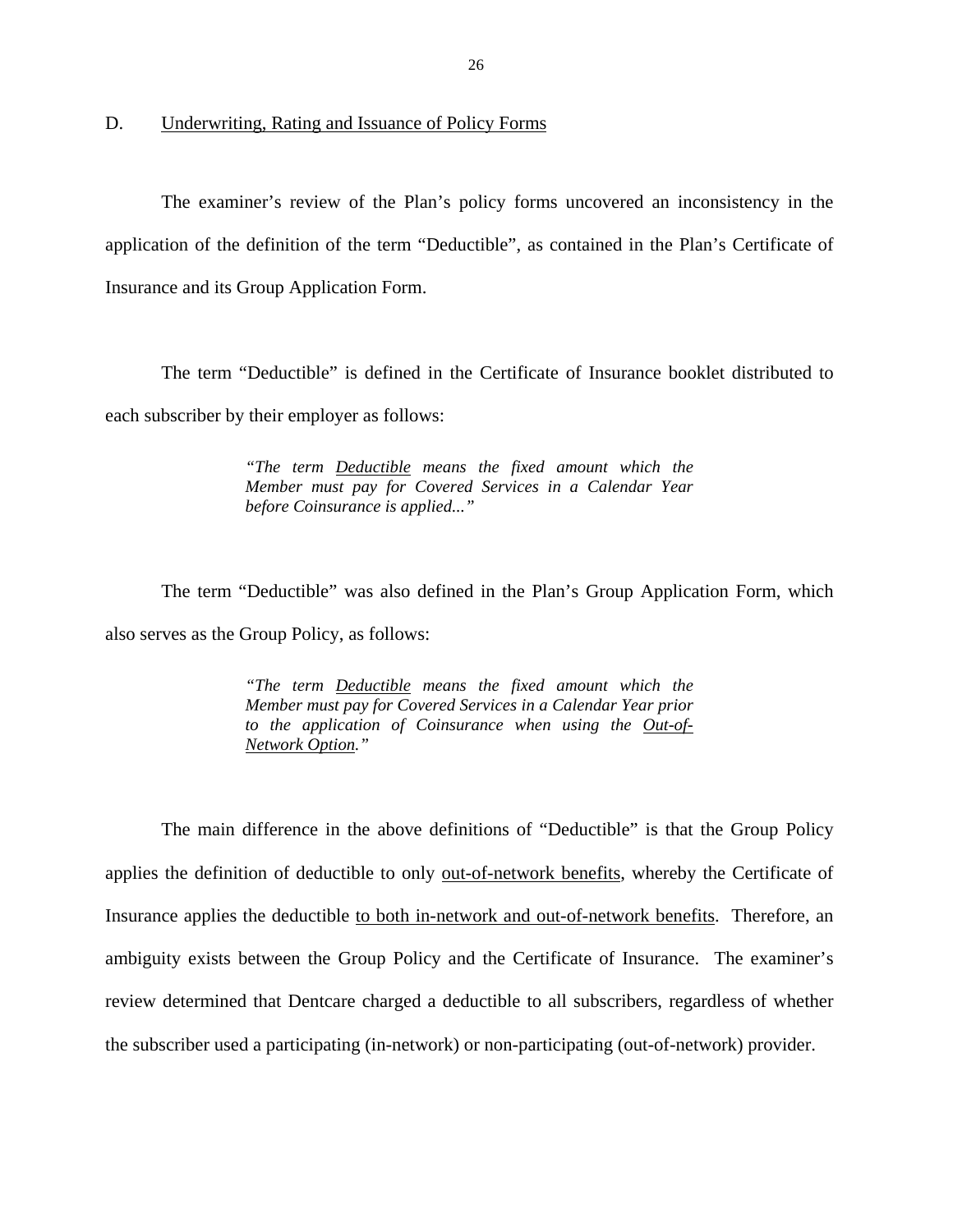<span id="page-27-0"></span>D. Underwriting, Rating and Issuance of Policy Forms

The examiner's review of the Plan's policy forms uncovered an inconsistency in the application of the definition of the term "Deductible", as contained in the Plan's Certificate of Insurance and its Group Application Form.

The term "Deductible" is defined in the Certificate of Insurance booklet distributed to each subscriber by their employer as follows:

> *"The term Deductible means the fixed amount which the Member must pay for Covered Services in a Calendar Year before Coinsurance is applied..."*

The term "Deductible" was also defined in the Plan's Group Application Form, which also serves as the Group Policy, as follows:

> *"The term Deductible means the fixed amount which the Member must pay for Covered Services in a Calendar Year prior to the application of Coinsurance when using the Out-of-Network Option."*

The main difference in the above definitions of "Deductible" is that the Group Policy applies the definition of deductible to only out-of-network benefits, whereby the Certificate of Insurance applies the deductible to both in-network and out-of-network benefits. Therefore, an ambiguity exists between the Group Policy and the Certificate of Insurance. The examiner's review determined that Dentcare charged a deductible to all subscribers, regardless of whether the subscriber used a participating (in-network) or non-participating (out-of-network) provider.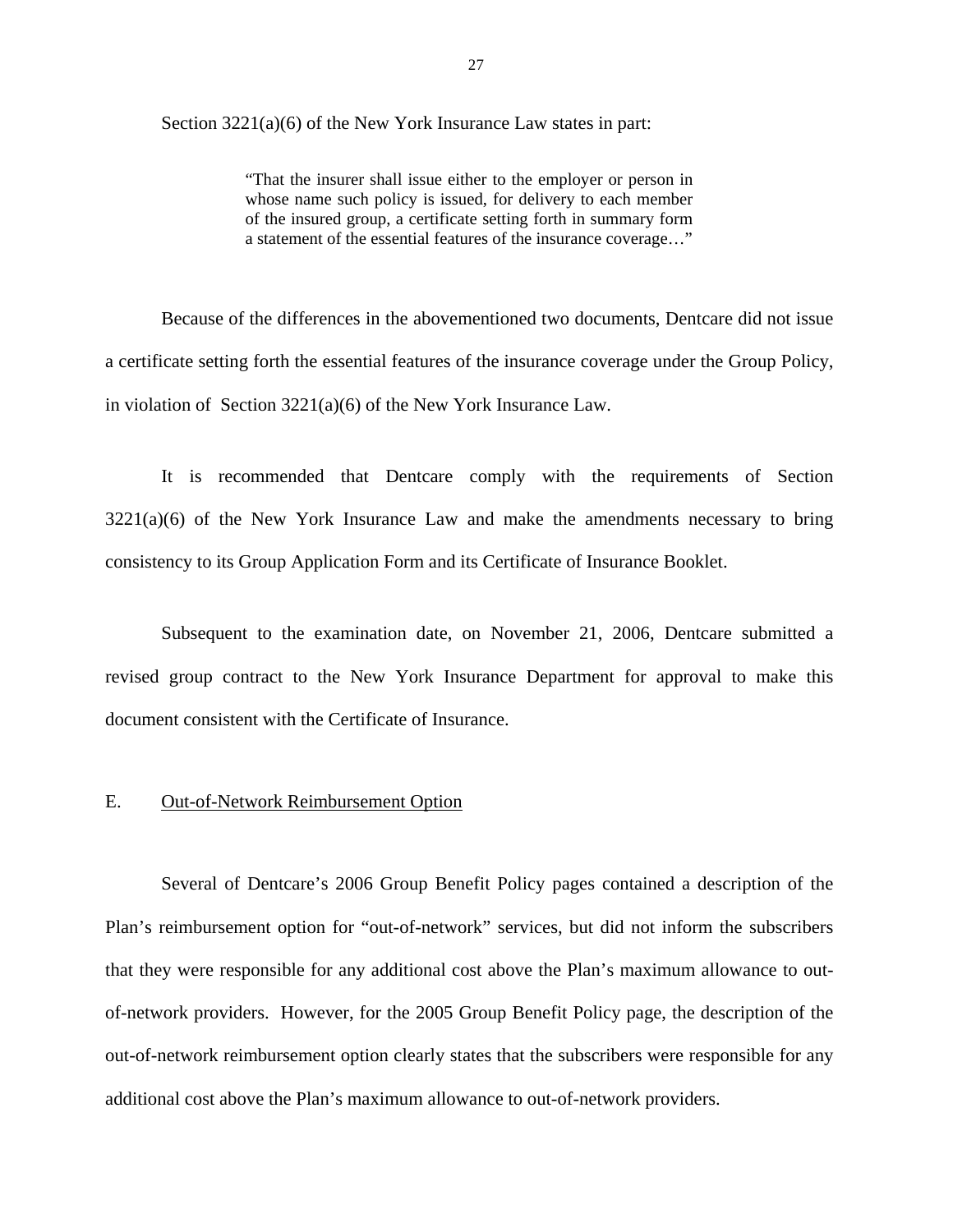<span id="page-28-0"></span>Section 3221(a)(6) of the New York Insurance Law states in part:

"That the insurer shall issue either to the employer or person in whose name such policy is issued, for delivery to each member of the insured group, a certificate setting forth in summary form a statement of the essential features of the insurance coverage…"

Because of the differences in the abovementioned two documents, Dentcare did not issue a certificate setting forth the essential features of the insurance coverage under the Group Policy, in violation of Section 3221(a)(6) of the New York Insurance Law.

It is recommended that Dentcare comply with the requirements of Section  $3221(a)(6)$  of the New York Insurance Law and make the amendments necessary to bring consistency to its Group Application Form and its Certificate of Insurance Booklet.

Subsequent to the examination date, on November 21, 2006, Dentcare submitted a revised group contract to the New York Insurance Department for approval to make this document consistent with the Certificate of Insurance.

#### **Out-of-Network Reimbursement Option**

E. Out-of-Network Reimbursement Option<br>Several of Dentcare's 2006 Group Benefit Policy pages contained a description of the Plan's reimbursement option for "out-of-network" services, but did not inform the subscribers that they were responsible for any additional cost above the Plan's maximum allowance to outof-network providers. However, for the 2005 Group Benefit Policy page, the description of the out-of-network reimbursement option clearly states that the subscribers were responsible for any additional cost above the Plan's maximum allowance to out-of-network providers.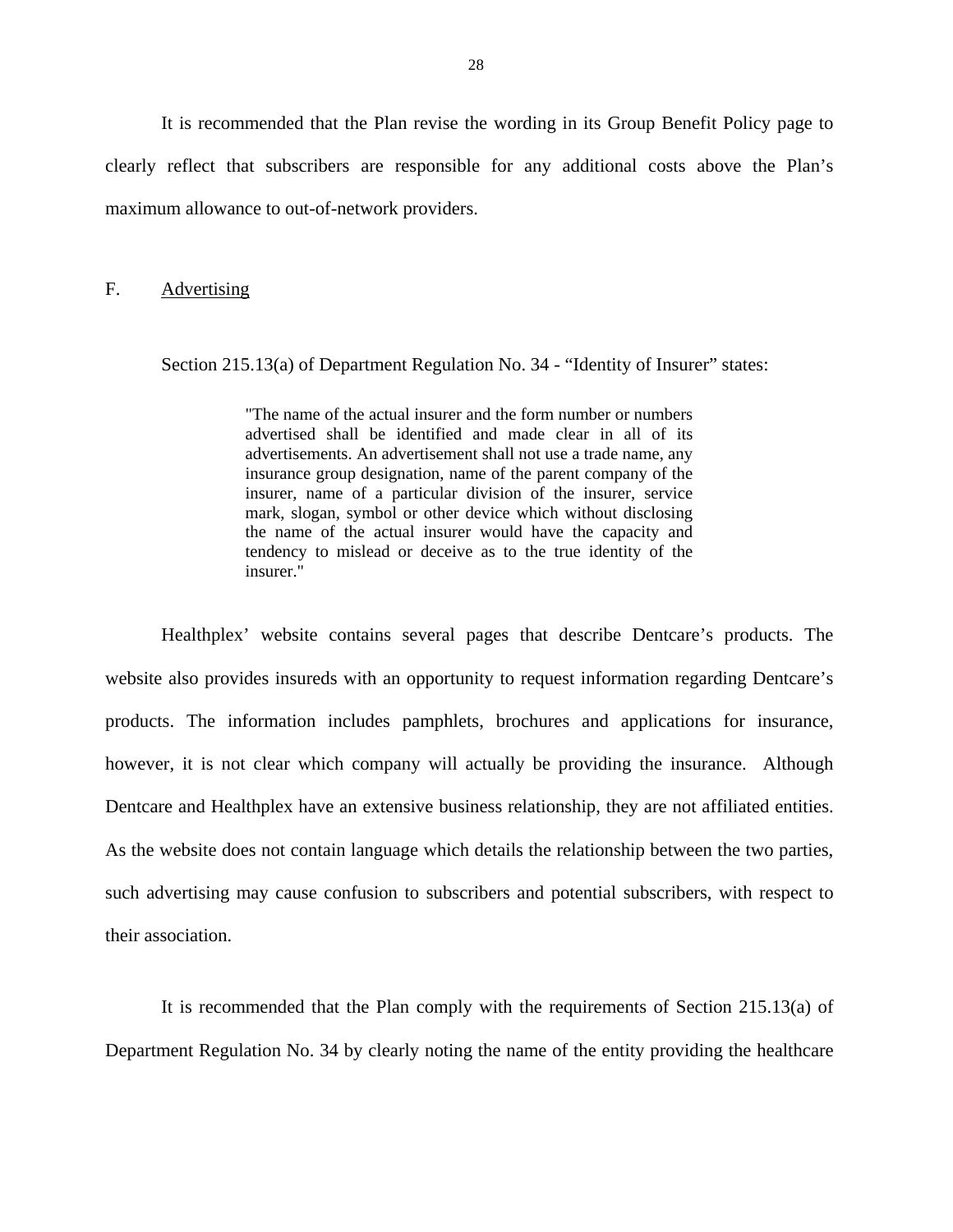<span id="page-29-0"></span>It is recommended that the Plan revise the wording in its Group Benefit Policy page to clearly reflect that subscribers are responsible for any additional costs above the Plan's maximum allowance to out-of-network providers.

#### F. Advertising

Section 215.13(a) of Department Regulation No. 34 - "Identity of Insurer" states:

"The name of the actual insurer and the form number or numbers advertised shall be identified and made clear in all of its advertisements. An advertisement shall not use a trade name, any insurance group designation, name of the parent company of the insurer, name of a particular division of the insurer, service mark, slogan, symbol or other device which without disclosing the name of the actual insurer would have the capacity and tendency to mislead or deceive as to the true identity of the insurer."

Dentcare and Healthplex have an extensive business relationship, they are not affiliated entities.<br>As the website does not contain language which details the relationship between the two parties, Healthplex' website contains several pages that describe Dentcare's products. The website also provides insureds with an opportunity to request information regarding Dentcare's products. The information includes pamphlets, brochures and applications for insurance, however, it is not clear which company will actually be providing the insurance. Although such advertising may cause confusion to subscribers and potential subscribers, with respect to their association.

It is recommended that the Plan comply with the requirements of Section 215.13(a) of Department Regulation No. 34 by clearly noting the name of the entity providing the healthcare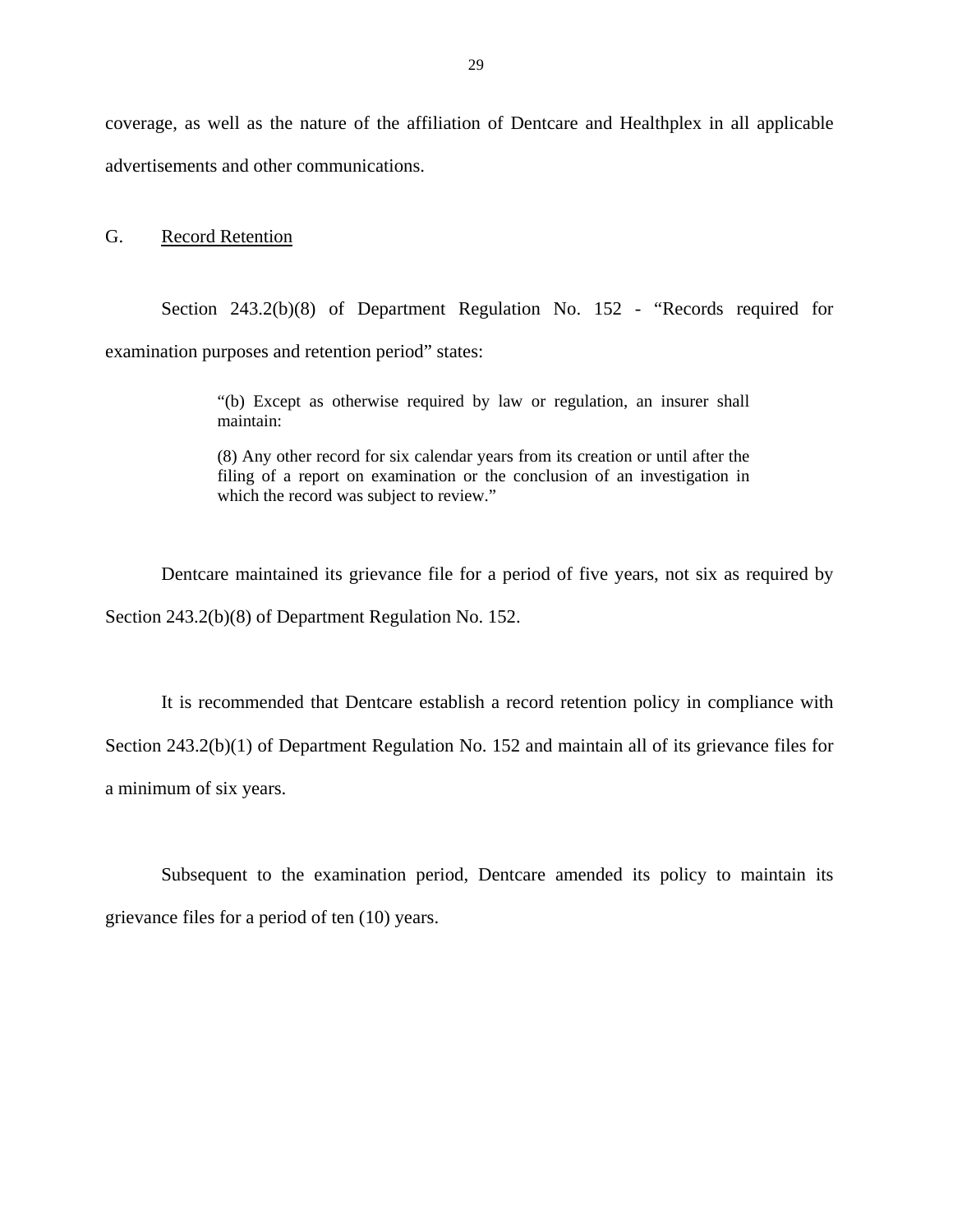<span id="page-30-0"></span>coverage, as well as the nature of the affiliation of Dentcare and Healthplex in all applicable advertisements and other communications.

#### G. Record Retention

Section 243.2(b)(8) of Department Regulation No. 152 - "Records required for examination purposes and retention period" states:

> "(b) Except as otherwise required by law or regulation, an insurer shall maintain:

> (8) Any other record for six calendar years from its creation or until after the filing of a report on examination or the conclusion of an investigation in which the record was subject to review."

Dentcare maintained its grievance file for a period of five years, not six as required by Section 243.2(b)(8) of Department Regulation No. 152.

It is recommended that Dentcare establish a record retention policy in compliance with Section 243.2(b)(1) of Department Regulation No. 152 and maintain all of its grievance files for a minimum of six years.

Subsequent to the examination period, Dentcare amended its policy to maintain its grievance files for a period of ten (10) years.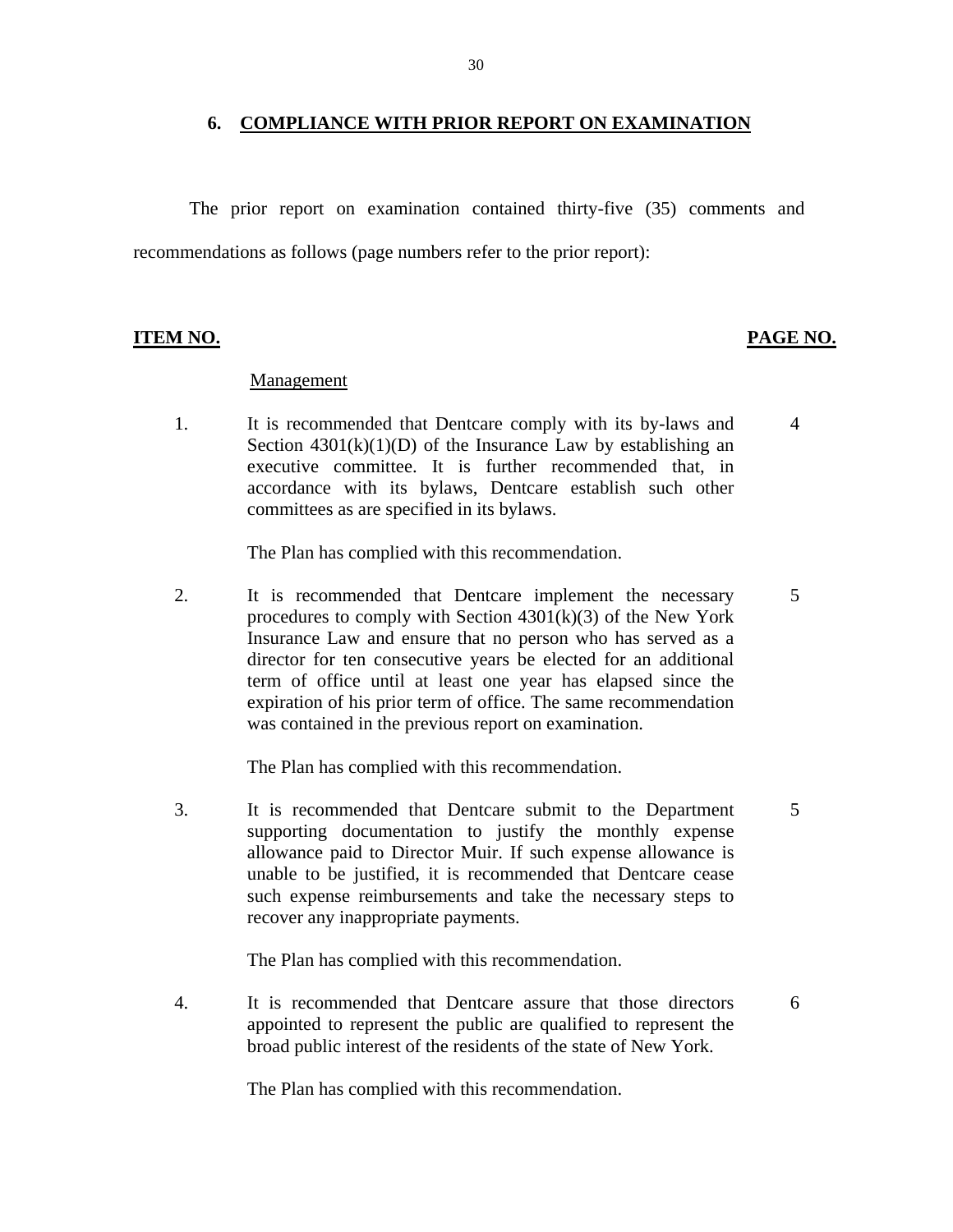#### **6. COMPLIANCE WITH PRIOR REPORT ON EXAMINATION**

The prior report on examination contained thirty-five (35) comments and recommendations as follows (page numbers refer to the prior report):

#### **ITEM NO. PAGE NO.**

5

6

#### Management

1. It is recommended that Dentcare comply with its by-laws and Section  $4301(k)(1)(D)$  of the Insurance Law by establishing an executive committee. It is further recommended that, in accordance with its bylaws, Dentcare establish such other committees as are specified in its bylaws. 4

The Plan has complied with this recommendation.

2. It is recommended that Dentcare implement the necessary procedures to comply with Section  $4301(k)(3)$  of the New York Insurance Law and ensure that no person who has served as a director for ten consecutive years be elected for an additional term of office until at least one year has elapsed since the expiration of his prior term of office. The same recommendation was contained in the previous report on examination.

The Plan has complied with this recommendation.

3. It is recommended that Dentcare submit to the Department supporting documentation to justify the monthly expense allowance paid to Director Muir. If such expense allowance is unable to be justified, it is recommended that Dentcare cease such expense reimbursements and take the necessary steps to recover any inappropriate payments. 5

The Plan has complied with this recommendation.

4. It is recommended that Dentcare assure that those directors appointed to represent the public are qualified to represent the broad public interest of the residents of the state of New York.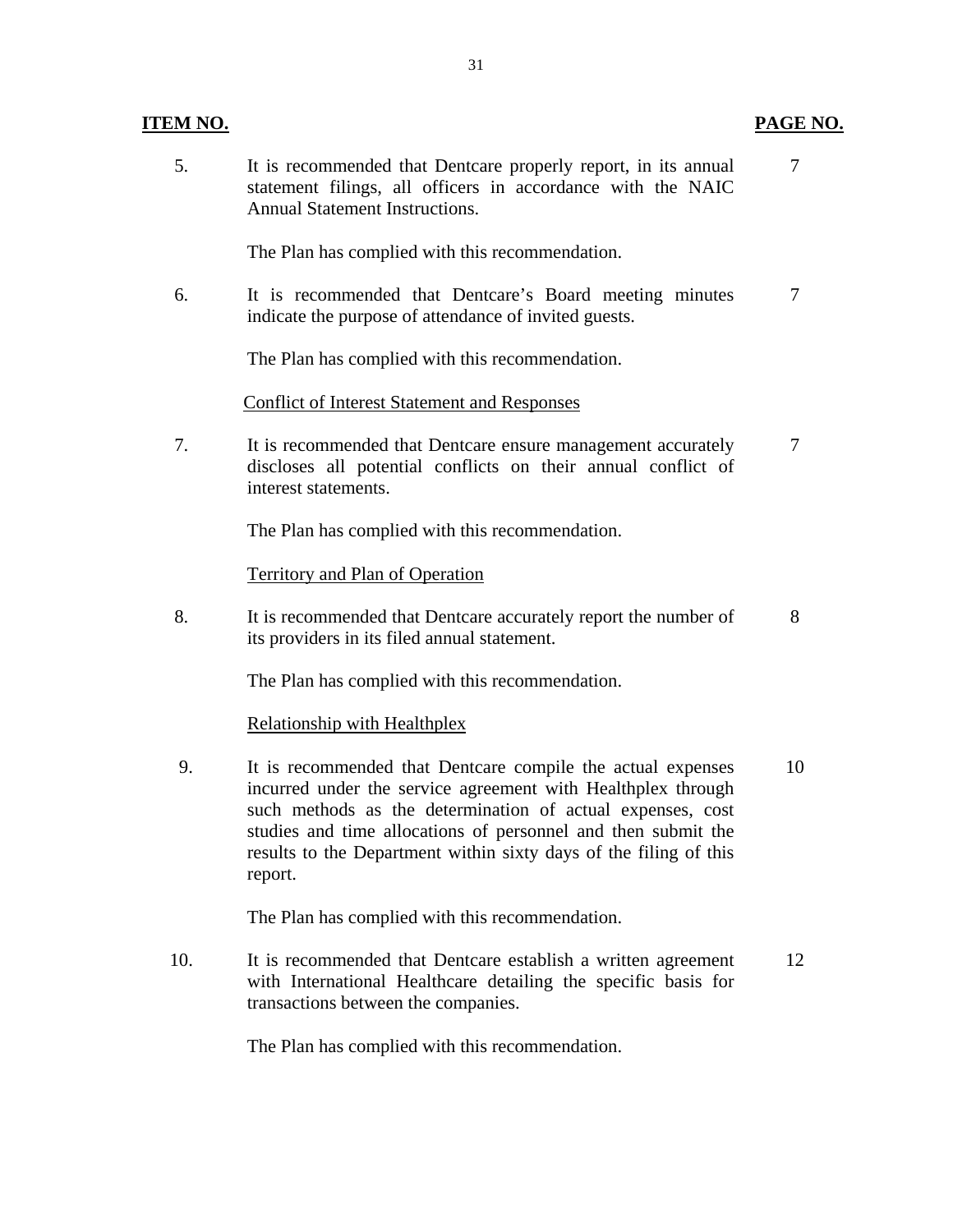### **ITEM NO.**

5. It is recommended that Dentcare properly report, in its annual 7 statement filings, all officers in accordance with the NAIC Annual Statement Instructions.

The Plan has complied with this recommendation.

6. It is recommended that Dentcare's Board meeting minutes 7 indicate the purpose of attendance of invited guests.

The Plan has complied with this recommendation.

Conflict of Interest Statement and Responses

 7. It is recommended that Dentcare ensure management accurately 7 discloses all potential conflicts on their annual conflict of interest statements.

The Plan has complied with this recommendation.

Territory and Plan of Operation

8. It is recommended that Dentcare accurately report the number of 8 its providers in its filed annual statement.

The Plan has complied with this recommendation.

Relationship with Healthplex

 9. It is recommended that Dentcare compile the actual expenses 10 incurred under the service agreement with Healthplex through such methods as the determination of actual expenses, cost studies and time allocations of personnel and then submit the results to the Department within sixty days of the filing of this report.

The Plan has complied with this recommendation.

10. It is recommended that Dentcare establish a written agreement 12 with International Healthcare detailing the specific basis for transactions between the companies.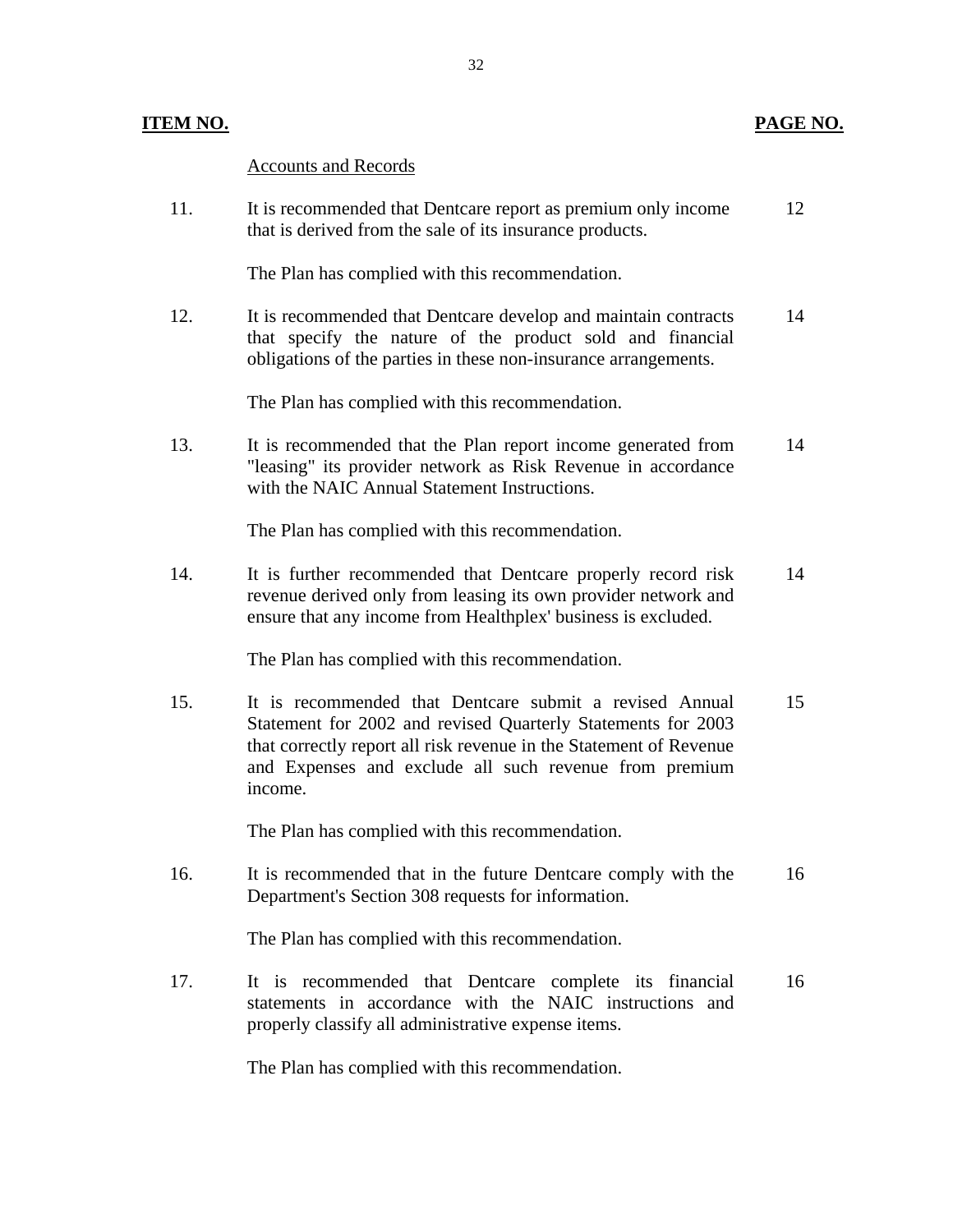### **ITEM NO. PAGE NO.**

Accounts and Records

11. It is recommended that Dentcare report as premium only income 12 that is derived from the sale of its insurance products.

The Plan has complied with this recommendation.

12. It is recommended that Dentcare develop and maintain contracts 14 that specify the nature of the product sold and financial obligations of the parties in these non-insurance arrangements.

The Plan has complied with this recommendation.

13. It is recommended that the Plan report income generated from 14 "leasing" its provider network as Risk Revenue in accordance with the NAIC Annual Statement Instructions.

The Plan has complied with this recommendation.

14. It is further recommended that Dentcare properly record risk 14 revenue derived only from leasing its own provider network and ensure that any income from Healthplex' business is excluded.

The Plan has complied with this recommendation.

15. It is recommended that Dentcare submit a revised Annual 15 Statement for 2002 and revised Quarterly Statements for 2003 that correctly report all risk revenue in the Statement of Revenue and Expenses and exclude all such revenue from premium income.

The Plan has complied with this recommendation.

16. It is recommended that in the future Dentcare comply with the 16 Department's Section 308 requests for information.

The Plan has complied with this recommendation.

17. It is recommended that Dentcare complete its financial 16 statements in accordance with the NAIC instructions and properly classify all administrative expense items.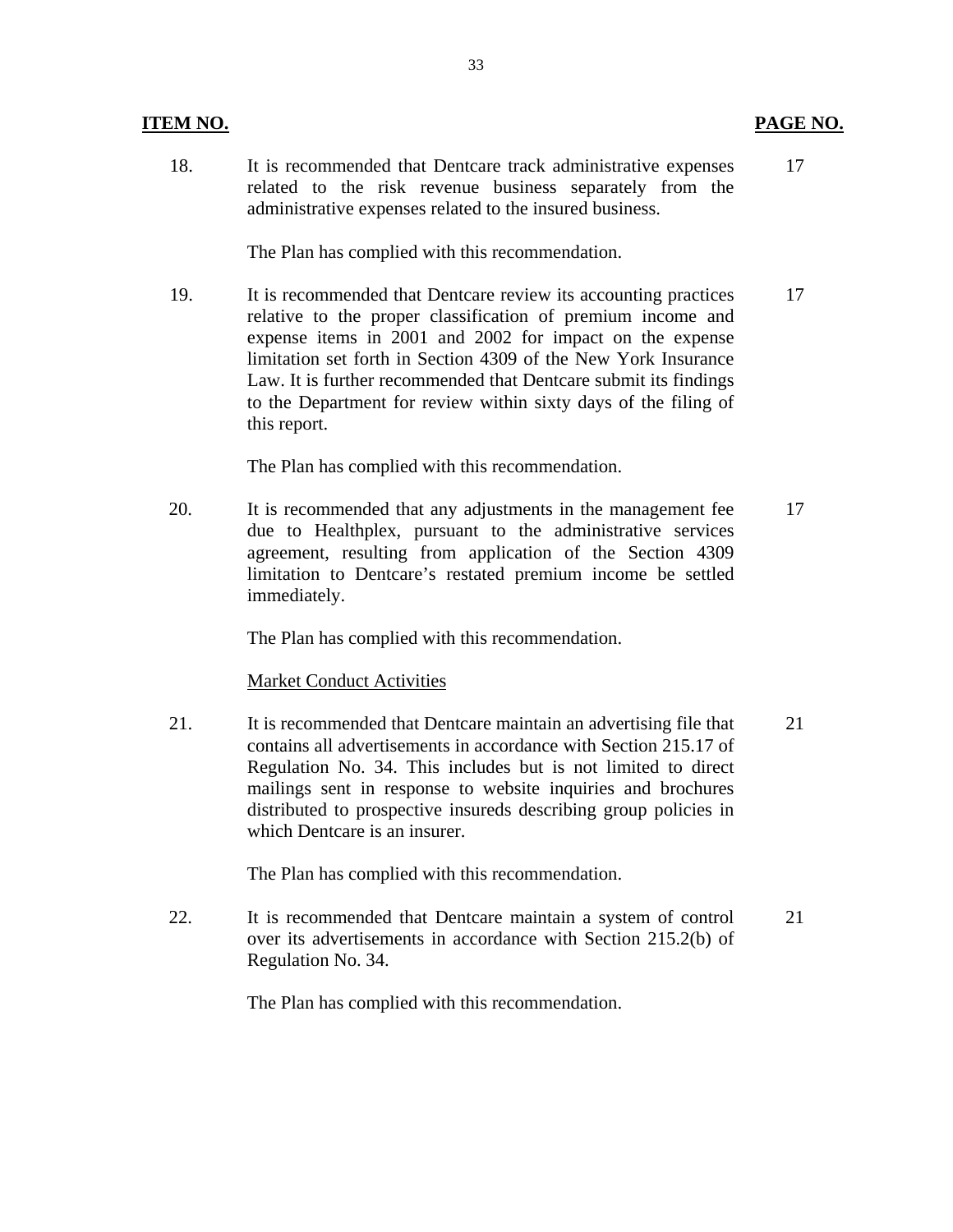#### **ITEM NO.**

18. It is recommended that Dentcare track administrative expenses 17 related to the risk revenue business separately from the administrative expenses related to the insured business.

The Plan has complied with this recommendation.

19. It is recommended that Dentcare review its accounting practices 17 relative to the proper classification of premium income and expense items in 2001 and 2002 for impact on the expense limitation set forth in Section 4309 of the New York Insurance Law. It is further recommended that Dentcare submit its findings to the Department for review within sixty days of the filing of this report.

The Plan has complied with this recommendation.

20. It is recommended that any adjustments in the management fee 17 due to Healthplex, pursuant to the administrative services agreement, resulting from application of the Section 4309 limitation to Dentcare's restated premium income be settled immediately.

The Plan has complied with this recommendation.

#### **Market Conduct Activities**

 21. It is recommended that Dentcare maintain an advertising file that 21 contains all advertisements in accordance with Section 215.17 of Regulation No. 34. This includes but is not limited to direct mailings sent in response to website inquiries and brochures distributed to prospective insureds describing group policies in which Dentcare is an insurer.

The Plan has complied with this recommendation.

22. It is recommended that Dentcare maintain a system of control 21 over its advertisements in accordance with Section 215.2(b) of Regulation No. 34.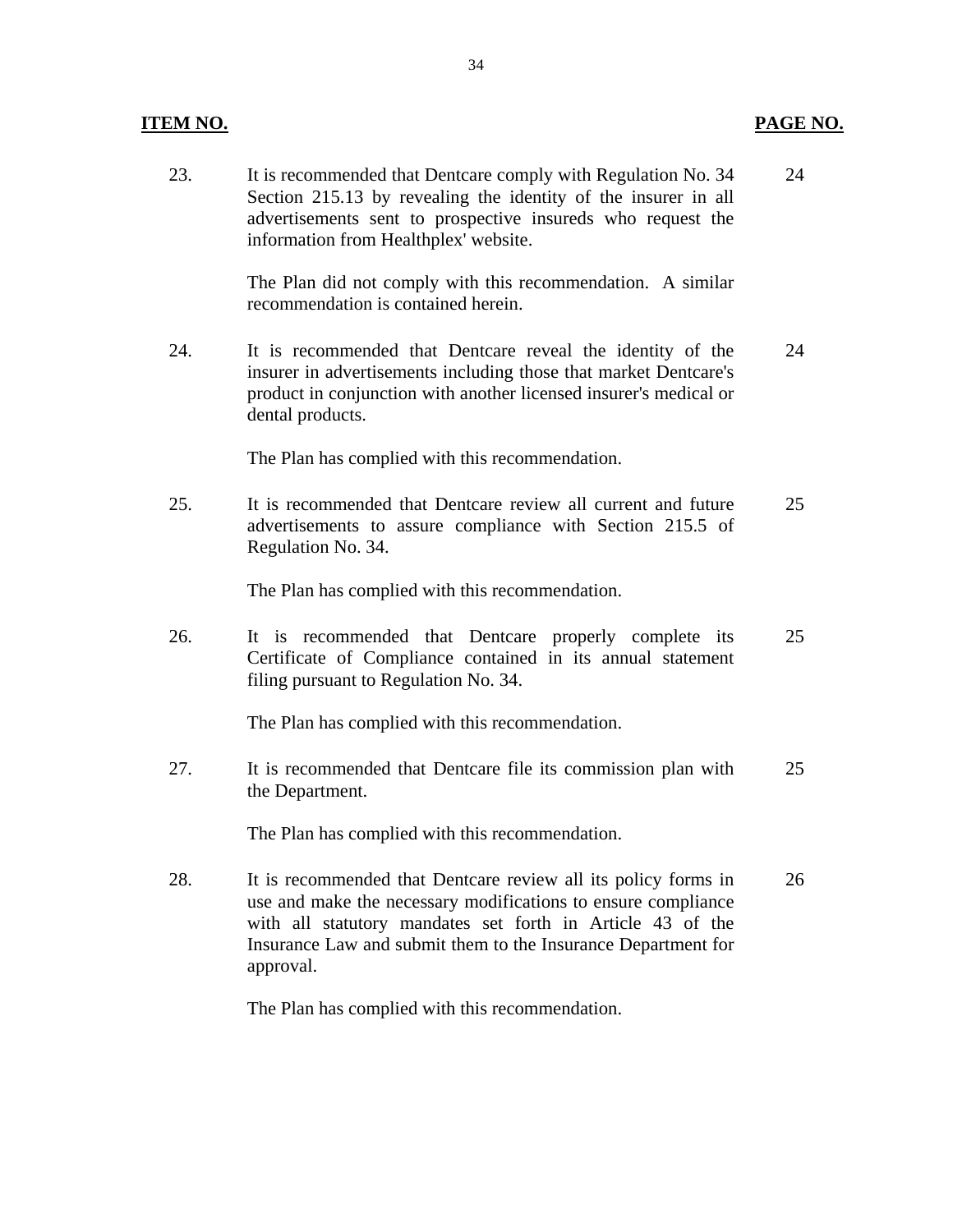#### **ITEM NO. PAGE NO.**

23. It is recommended that Dentcare comply with Regulation No. 34 24 Section 215.13 by revealing the identity of the insurer in all advertisements sent to prospective insureds who request the information from Healthplex' website.

> The Plan did not comply with this recommendation. A similar recommendation is contained herein.

24. It is recommended that Dentcare reveal the identity of the 24 insurer in advertisements including those that market Dentcare's product in conjunction with another licensed insurer's medical or dental products.

The Plan has complied with this recommendation.

25. It is recommended that Dentcare review all current and future 25 advertisements to assure compliance with Section 215.5 of Regulation No. 34.

The Plan has complied with this recommendation.

26. It is recommended that Dentcare properly complete its 25 Certificate of Compliance contained in its annual statement filing pursuant to Regulation No. 34.

The Plan has complied with this recommendation.

27. It is recommended that Dentcare file its commission plan with 25 the Department.

The Plan has complied with this recommendation.

28. It is recommended that Dentcare review all its policy forms in 26 use and make the necessary modifications to ensure compliance with all statutory mandates set forth in Article 43 of the Insurance Law and submit them to the Insurance Department for approval.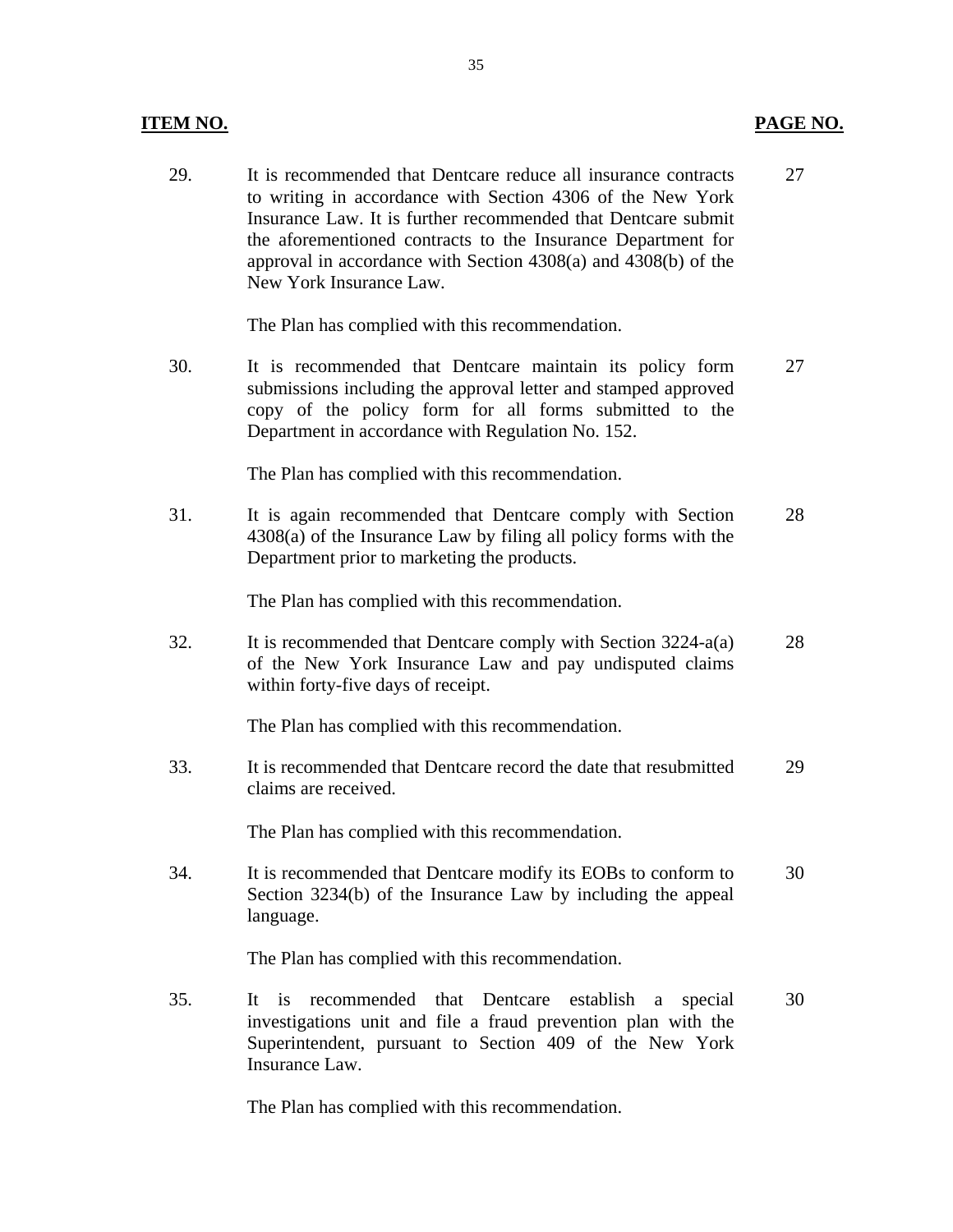29. It is recommended that Dentcare reduce all insurance contracts 27 to writing in accordance with Section 4306 of the New York Insurance Law. It is further recommended that Dentcare submit the aforementioned contracts to the Insurance Department for approval in accordance with Section 4308(a) and 4308(b) of the New York Insurance Law.

The Plan has complied with this recommendation.

30. It is recommended that Dentcare maintain its policy form 27 submissions including the approval letter and stamped approved copy of the policy form for all forms submitted to the Department in accordance with Regulation No. 152.

The Plan has complied with this recommendation.

31. It is again recommended that Dentcare comply with Section 28 4308(a) of the Insurance Law by filing all policy forms with the Department prior to marketing the products.

The Plan has complied with this recommendation.

32. It is recommended that Dentcare comply with Section 3224-a(a) 28 of the New York Insurance Law and pay undisputed claims within forty-five days of receipt.

The Plan has complied with this recommendation.

33. It is recommended that Dentcare record the date that resubmitted 29 claims are received.

The Plan has complied with this recommendation.

34. It is recommended that Dentcare modify its EOBs to conform to 30 Section 3234(b) of the Insurance Law by including the appeal language.

The Plan has complied with this recommendation.

35. It is recommended that Dentcare establish a special 30 investigations unit and file a fraud prevention plan with the Superintendent, pursuant to Section 409 of the New York Insurance Law.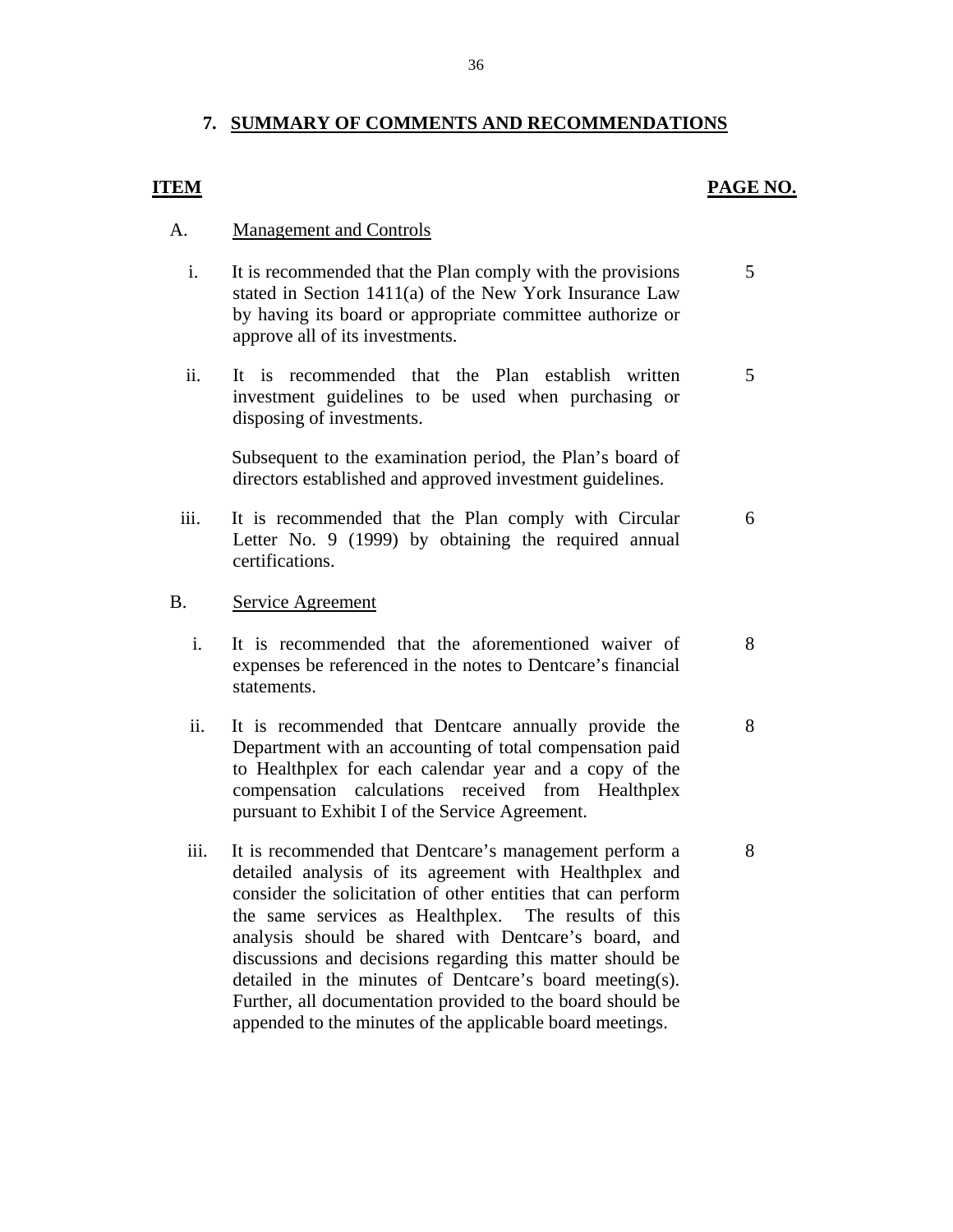### **7. SUMMARY OF COMMENTS AND RECOMMENDATIONS**

#### **ITEM**

#### **PAGE NO.**

5

5

6

8

8

8

#### A. Management and Controls

- i. It is recommended that the Plan comply with the provisions stated in Section 1411(a) of the New York Insurance Law by having its board or appropriate committee authorize or approve all of its investments.
- ii. It is recommended that the Plan establish written investment guidelines to be used when purchasing or disposing of investments.

Subsequent to the examination period, the Plan's board of directors established and approved investment guidelines.

 iii. It is recommended that the Plan comply with Circular Letter No. 9 (1999) by obtaining the required annual certifications.

#### B. Service Agreement

- i. It is recommended that the aforementioned waiver of expenses be referenced in the notes to Dentcare's financial statements.
- ii. It is recommended that Dentcare annually provide the Department with an accounting of total compensation paid to Healthplex for each calendar year and a copy of the compensation calculations received from Healthplex pursuant to Exhibit I of the Service Agreement.
- iii. It is recommended that Dentcare's management perform a detailed analysis of its agreement with Healthplex and consider the solicitation of other entities that can perform the same services as Healthplex. The results of this analysis should be shared with Dentcare's board, and discussions and decisions regarding this matter should be detailed in the minutes of Dentcare's board meeting(s). Further, all documentation provided to the board should be appended to the minutes of the applicable board meetings.

36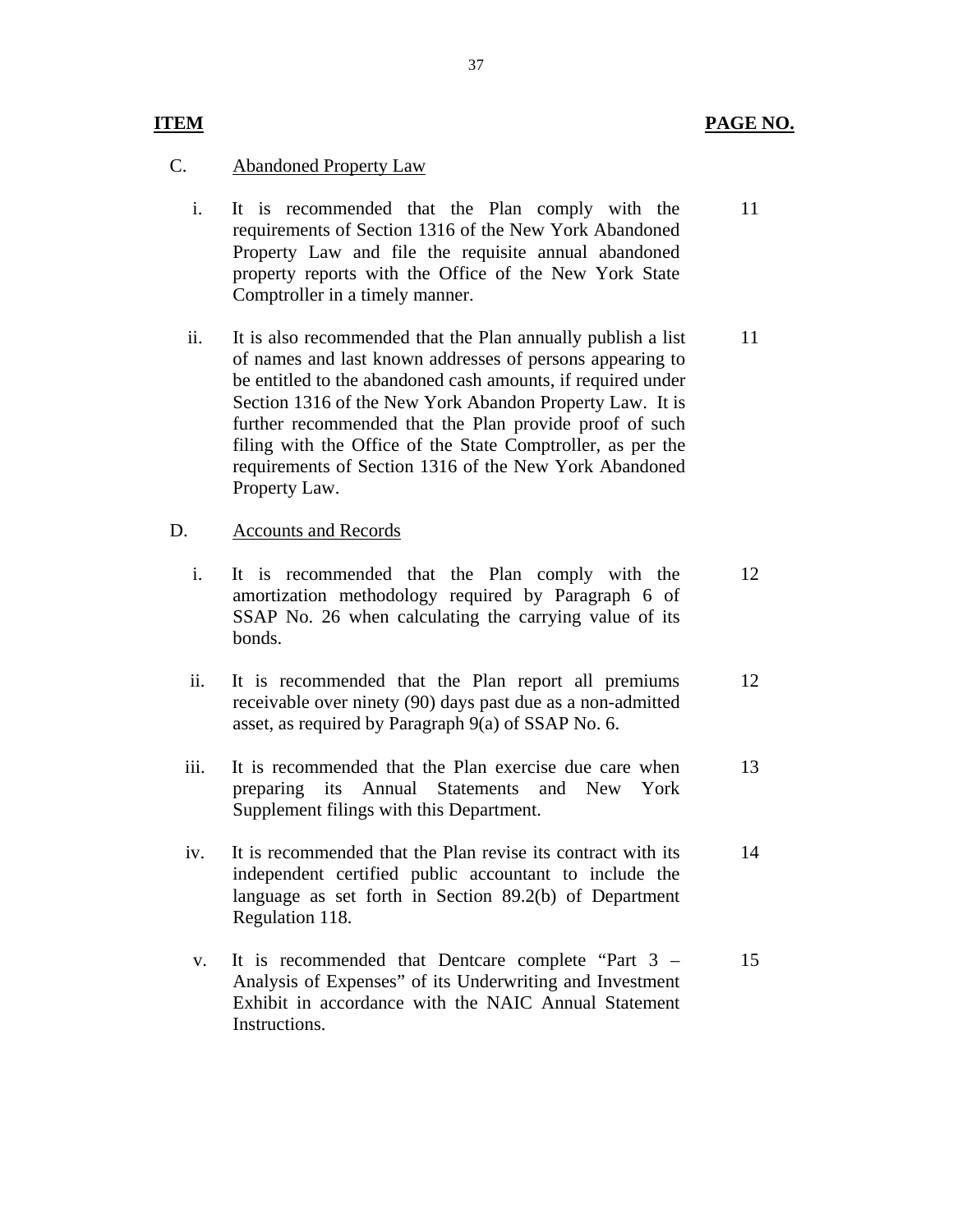#### **ITEM** PAGE NO.

11

### C. Abandoned Property Law

- i. It is recommended that the Plan comply with the requirements of Section 1316 of the New York Abandoned Property Law and file the requisite annual abandoned property reports with the Office of the New York State Comptroller in a timely manner.
- ii. It is also recommended that the Plan annually publish a list of names and last known addresses of persons appearing to be entitled to the abandoned cash amounts, if required under Section 1316 of the New York Abandon Property Law. It is further recommended that the Plan provide proof of such filing with the Office of the State Comptroller, as per the requirements of Section 1316 of the New York Abandoned Property Law. 11

#### D. Accounts and Records

- i. It is recommended that the Plan comply with the amortization methodology required by Paragraph 6 of SSAP No. 26 when calculating the carrying value of its bonds. 12
- ii. It is recommended that the Plan report all premiums receivable over ninety (90) days past due as a non-admitted asset, as required by Paragraph 9(a) of SSAP No. 6. 12
- iii. It is recommended that the Plan exercise due care when preparing its Annual Statements and New York Supplement filings with this Department. 13
- iv. It is recommended that the Plan revise its contract with its independent certified public accountant to include the language as set forth in Section 89.2(b) of Department Regulation 118. 14
- **Instructions** v. It is recommended that Dentcare complete "Part 3 – Analysis of Expenses" of its Underwriting and Investment Exhibit in accordance with the NAIC Annual Statement It is recommended that Dentcare complete "Part 3 – 15<br>Analysis of Expenses" of its Underwriting and Investment<br>Exhibit in accordance with the NAIC Annual Statement<br>Instructions.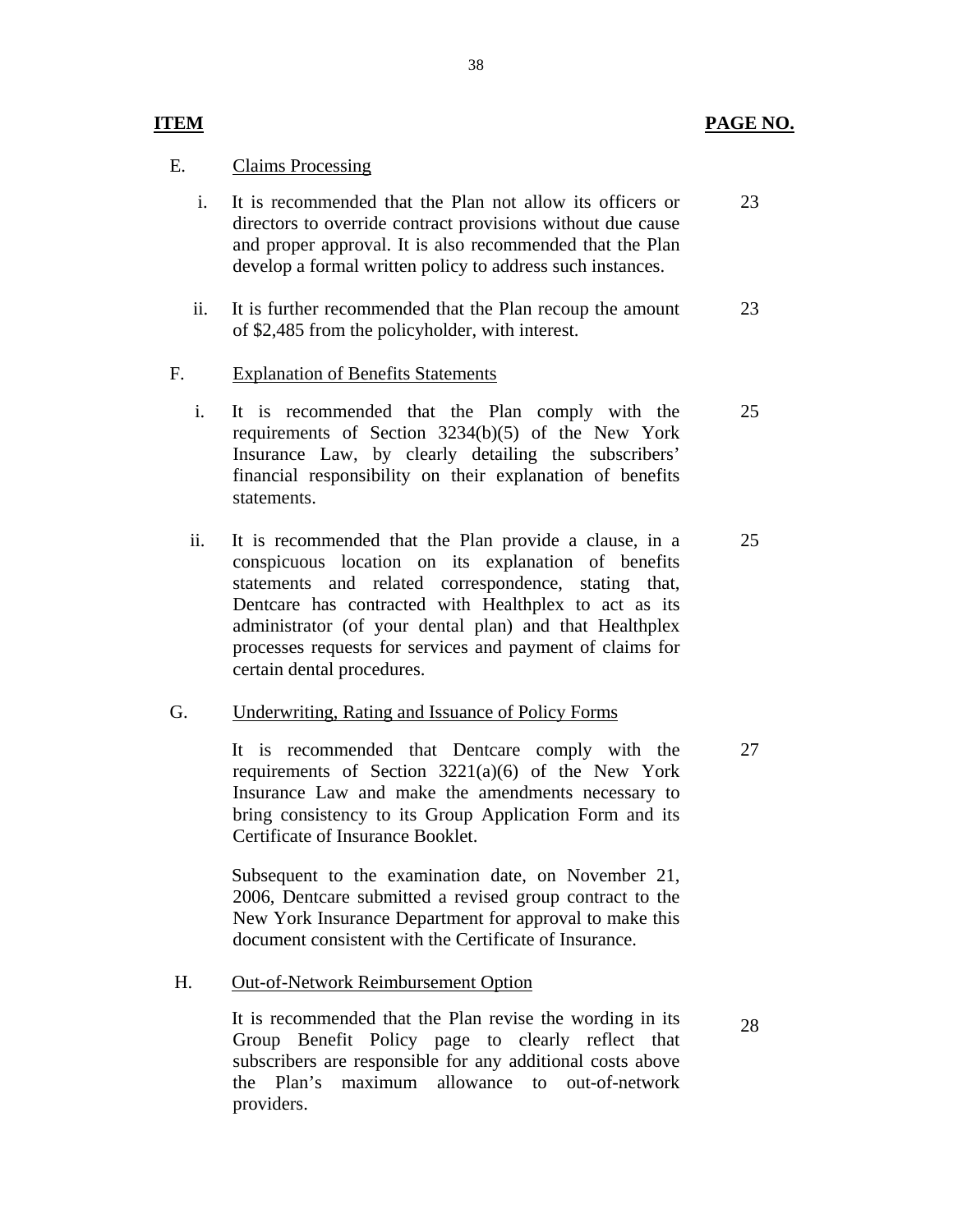#### PAGE NO.

27

28

#### E. Claims Processing

**ITEM** 

- i. It is recommended that the Plan not allow its officers or directors to override contract provisions without due cause and proper approval. It is also recommended that the Plan develop a formal written policy to address such instances. 23
- ii. It is further recommended that the Plan recoup the amount of \$2,485 from the policyholder, with interest. 23

#### F. Explanation of Benefits Statements

- i. It is recommended that the Plan comply with the requirements of Section 3234(b)(5) of the New York Insurance Law, by clearly detailing the subscribers' financial responsibility on their explanation of benefits statements. 25
- ii. It is recommended that the Plan provide a clause, in a conspicuous location on its explanation of benefits statements and related correspondence, stating that, Dentcare has contracted with Healthplex to act as its administrator (of your dental plan) and that Healthplex processes requests for services and payment of claims for certain dental procedures. 25

#### G. **Underwriting, Rating and Issuance of Policy Forms**

It is recommended that Dentcare comply with the requirements of Section  $3221(a)(6)$  of the New York Insurance Law and make the amendments necessary to bring consistency to its Group Application Form and its Certificate of Insurance Booklet.

Subsequent to the examination date, on November 21, 2006, Dentcare submitted a revised group contract to the New York Insurance Department for approval to make this document consistent with the Certificate of Insurance.

#### H. Out-of-Network Reimbursement Option

It is recommended that the Plan revise the wording in its Group Benefit Policy page to clearly reflect that subscribers are responsible for any additional costs above the Plan's maximum allowance to out-of-network providers.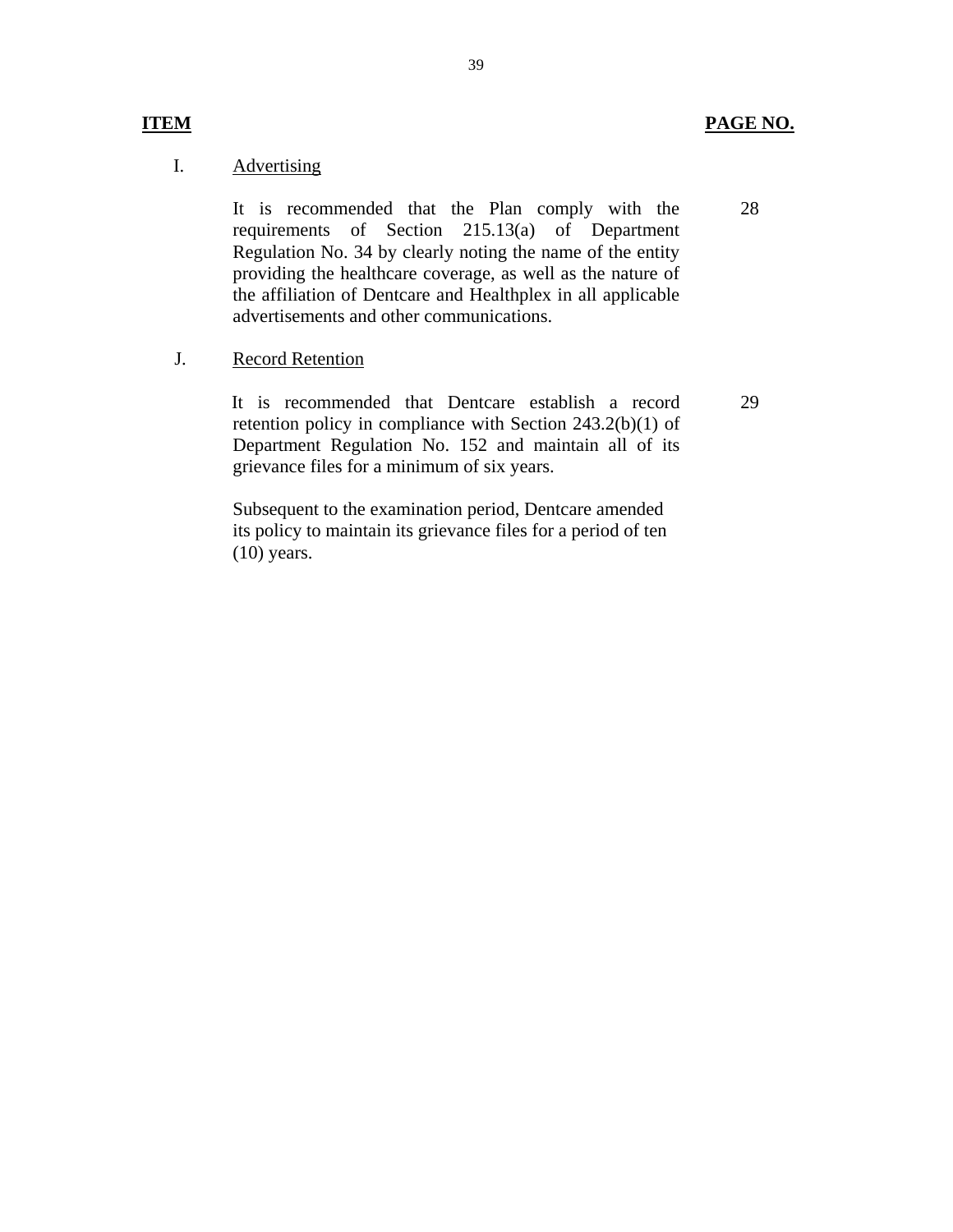#### I. **Advertising**

It is recommended that the Plan comply with the requirements of Section 215.13(a) of Department Regulation No. 34 by clearly noting the name of the entity providing the healthcare coverage, as well as the nature of the affiliation of Dentcare and Healthplex in all applicable advertisements and other communications.

39

 J. Record Retention

> It is recommended that Dentcare establish a record retention policy in compliance with Section 243.2(b)(1) of Department Regulation No. 152 and maintain all of its grievance files for a minimum of six years.

Subsequent to the examination period, Dentcare amended its policy to maintain its grievance files for a period of ten (10) years.

**ITEM** 

29